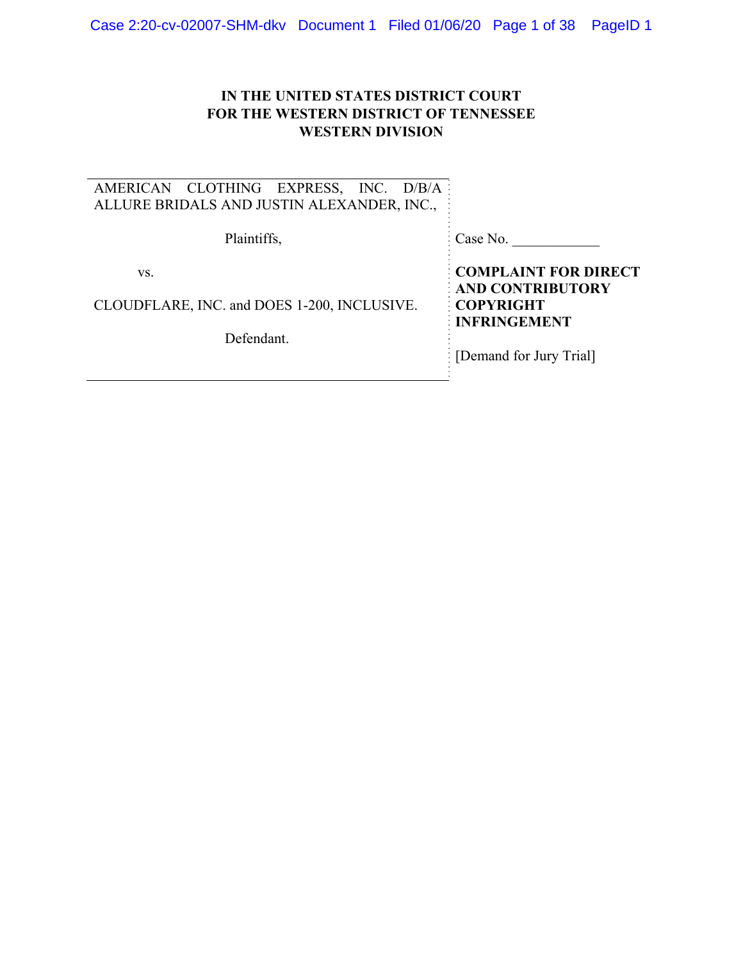## **IN THE UNITED STATES DISTRICT COURT FOR THE WESTERN DISTRICT OF TENNESSEE WESTERN DIVISION**

| AMERICAN CLOTHING EXPRESS, INC. D/B/A<br>ALLURE BRIDALS AND JUSTIN ALEXANDER, INC., |                                                                                                                              |
|-------------------------------------------------------------------------------------|------------------------------------------------------------------------------------------------------------------------------|
| Plaintiffs,                                                                         | : Case No.                                                                                                                   |
| VS.<br>CLOUDFLARE, INC. and DOES 1-200, INCLUSIVE.<br>Defendant.                    | <b>COMPLAINT FOR DIRECT</b><br><b>AND CONTRIBUTORY</b><br><b>COPYRIGHT</b><br><b>INFRINGEMENT</b><br>[Demand for Jury Trial] |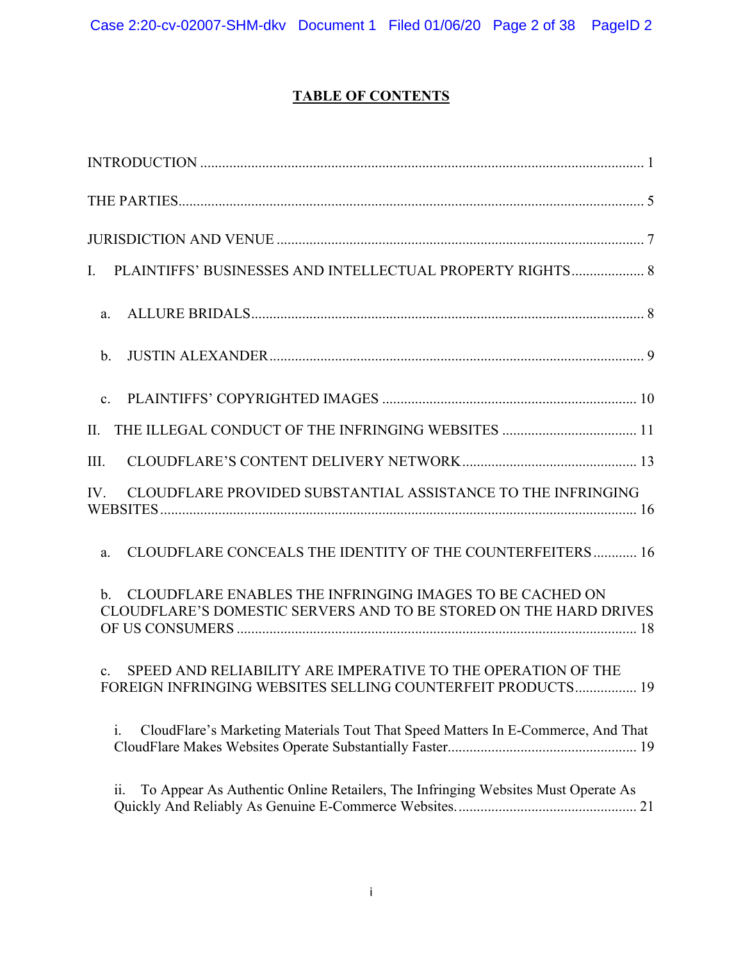# **TABLE OF CONTENTS**

| PLAINTIFFS' BUSINESSES AND INTELLECTUAL PROPERTY RIGHTS 8<br>$\mathbf{I}$ .                                                                     |
|-------------------------------------------------------------------------------------------------------------------------------------------------|
| a.                                                                                                                                              |
| $\mathbf{b}$ .                                                                                                                                  |
| $\mathbf{c}$ .                                                                                                                                  |
| $\Pi$ .                                                                                                                                         |
| III.                                                                                                                                            |
| CLOUDFLARE PROVIDED SUBSTANTIAL ASSISTANCE TO THE INFRINGING<br>IV.                                                                             |
| CLOUDFLARE CONCEALS THE IDENTITY OF THE COUNTERFEITERS 16<br>a.                                                                                 |
| CLOUDFLARE ENABLES THE INFRINGING IMAGES TO BE CACHED ON<br>$\mathbf{b}$ .<br>CLOUDFLARE'S DOMESTIC SERVERS AND TO BE STORED ON THE HARD DRIVES |
| SPEED AND RELIABILITY ARE IMPERATIVE TO THE OPERATION OF THE<br>FOREIGN INFRINGING WEBSITES SELLING COUNTERFEIT PRODUCTS 19                     |
| CloudFlare's Marketing Materials Tout That Speed Matters In E-Commerce, And That<br>i.                                                          |
| To Appear As Authentic Online Retailers, The Infringing Websites Must Operate As<br>ii.                                                         |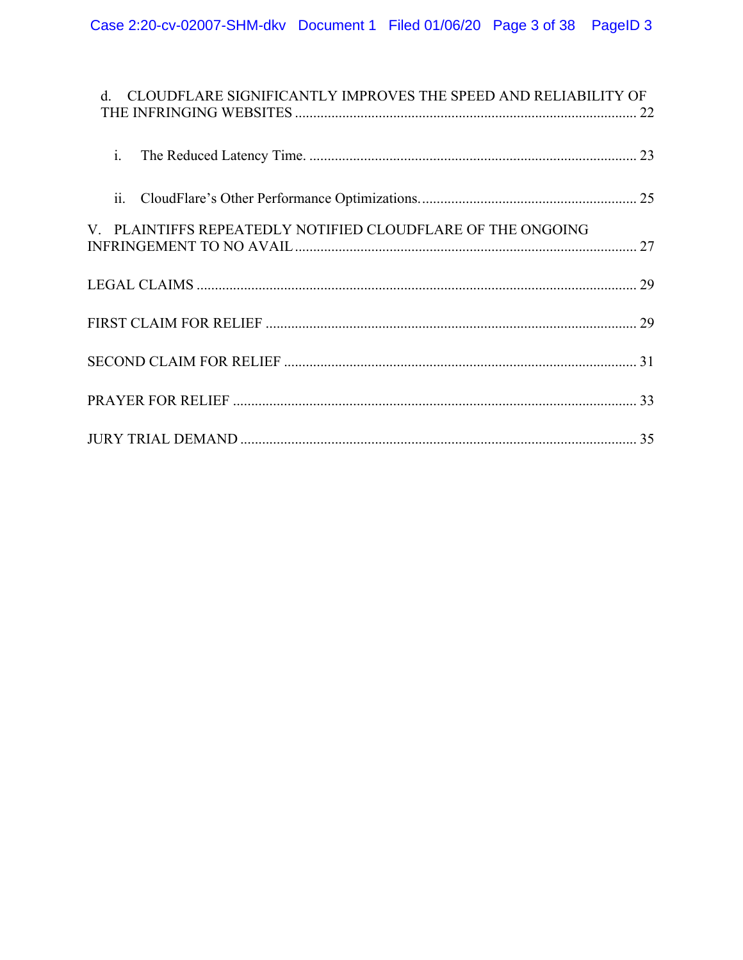|                | d. CLOUDFLARE SIGNIFICANTLY IMPROVES THE SPEED AND RELIABILITY OF |  |
|----------------|-------------------------------------------------------------------|--|
| $\mathbf{i}$ . |                                                                   |  |
|                |                                                                   |  |
|                | V. PLAINTIFFS REPEATEDLY NOTIFIED CLOUDFLARE OF THE ONGOING       |  |
|                |                                                                   |  |
|                |                                                                   |  |
|                |                                                                   |  |
|                |                                                                   |  |
|                |                                                                   |  |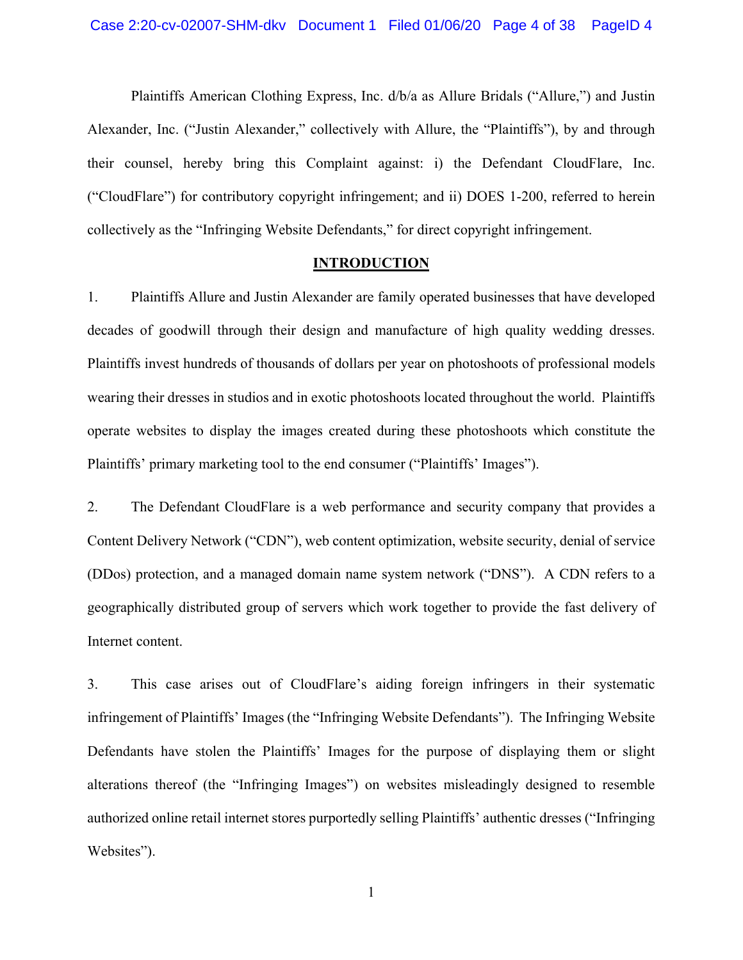Plaintiffs American Clothing Express, Inc. d/b/a as Allure Bridals ("Allure,") and Justin Alexander, Inc. ("Justin Alexander," collectively with Allure, the "Plaintiffs"), by and through their counsel, hereby bring this Complaint against: i) the Defendant CloudFlare, Inc. ("CloudFlare") for contributory copyright infringement; and ii) DOES 1-200, referred to herein collectively as the "Infringing Website Defendants," for direct copyright infringement.

#### **INTRODUCTION**

1. Plaintiffs Allure and Justin Alexander are family operated businesses that have developed decades of goodwill through their design and manufacture of high quality wedding dresses. Plaintiffs invest hundreds of thousands of dollars per year on photoshoots of professional models wearing their dresses in studios and in exotic photoshoots located throughout the world. Plaintiffs operate websites to display the images created during these photoshoots which constitute the Plaintiffs' primary marketing tool to the end consumer ("Plaintiffs' Images").

2. The Defendant CloudFlare is a web performance and security company that provides a Content Delivery Network ("CDN"), web content optimization, website security, denial of service (DDos) protection, and a managed domain name system network ("DNS"). A CDN refers to a geographically distributed group of servers which work together to provide the fast delivery of Internet content.

3. This case arises out of CloudFlare's aiding foreign infringers in their systematic infringement of Plaintiffs' Images (the "Infringing Website Defendants"). The Infringing Website Defendants have stolen the Plaintiffs' Images for the purpose of displaying them or slight alterations thereof (the "Infringing Images") on websites misleadingly designed to resemble authorized online retail internet stores purportedly selling Plaintiffs' authentic dresses ("Infringing Websites").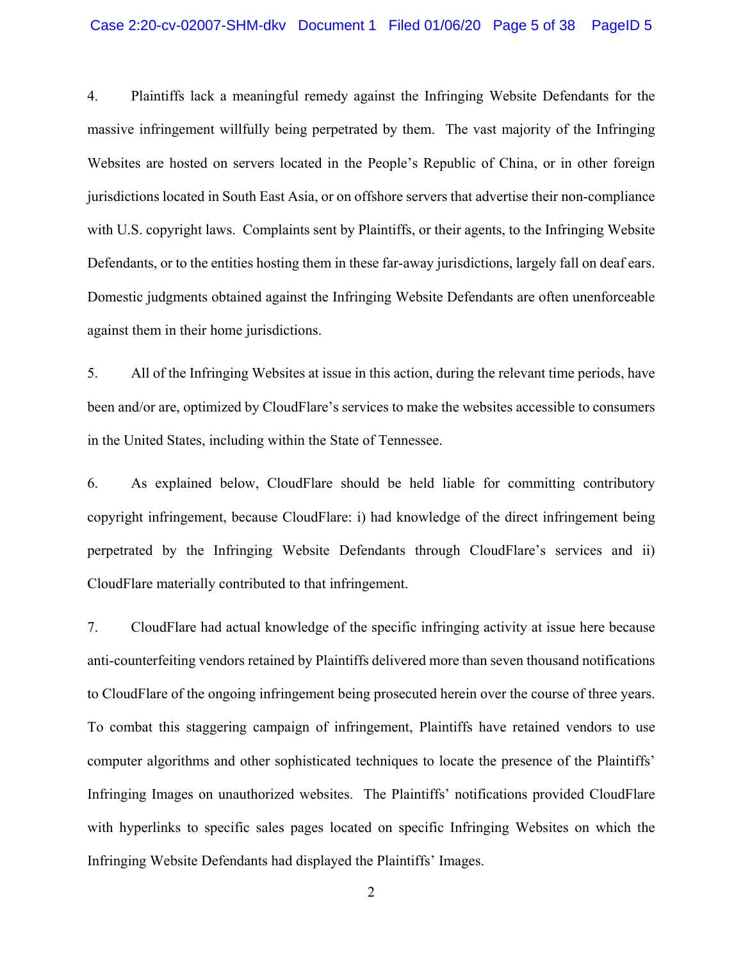#### Case 2:20-cv-02007-SHM-dkv Document 1 Filed 01/06/20 Page 5 of 38 PageID 5

4. Plaintiffs lack a meaningful remedy against the Infringing Website Defendants for the massive infringement willfully being perpetrated by them. The vast majority of the Infringing Websites are hosted on servers located in the People's Republic of China, or in other foreign jurisdictions located in South East Asia, or on offshore servers that advertise their non-compliance with U.S. copyright laws. Complaints sent by Plaintiffs, or their agents, to the Infringing Website Defendants, or to the entities hosting them in these far-away jurisdictions, largely fall on deaf ears. Domestic judgments obtained against the Infringing Website Defendants are often unenforceable against them in their home jurisdictions.

5. All of the Infringing Websites at issue in this action, during the relevant time periods, have been and/or are, optimized by CloudFlare's services to make the websites accessible to consumers in the United States, including within the State of Tennessee.

6. As explained below, CloudFlare should be held liable for committing contributory copyright infringement, because CloudFlare: i) had knowledge of the direct infringement being perpetrated by the Infringing Website Defendants through CloudFlare's services and ii) CloudFlare materially contributed to that infringement.

7. CloudFlare had actual knowledge of the specific infringing activity at issue here because anti-counterfeiting vendors retained by Plaintiffs delivered more than seven thousand notifications to CloudFlare of the ongoing infringement being prosecuted herein over the course of three years. To combat this staggering campaign of infringement, Plaintiffs have retained vendors to use computer algorithms and other sophisticated techniques to locate the presence of the Plaintiffs' Infringing Images on unauthorized websites. The Plaintiffs' notifications provided CloudFlare with hyperlinks to specific sales pages located on specific Infringing Websites on which the Infringing Website Defendants had displayed the Plaintiffs' Images.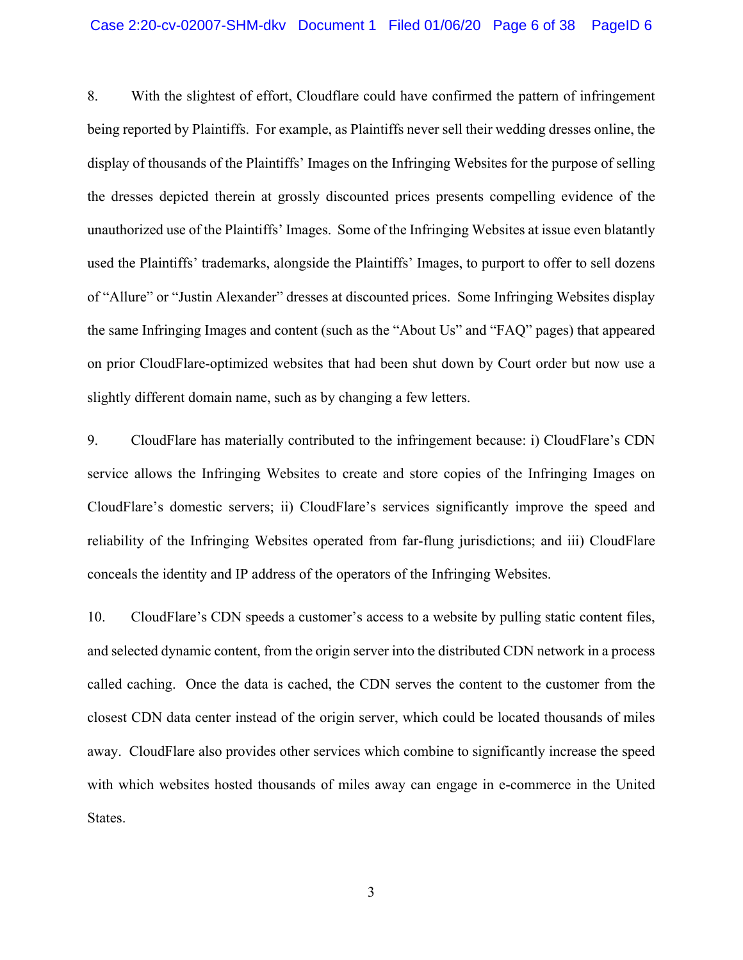#### Case 2:20-cv-02007-SHM-dkv Document 1 Filed 01/06/20 Page 6 of 38 PageID 6

8. With the slightest of effort, Cloudflare could have confirmed the pattern of infringement being reported by Plaintiffs. For example, as Plaintiffs never sell their wedding dresses online, the display of thousands of the Plaintiffs' Images on the Infringing Websites for the purpose of selling the dresses depicted therein at grossly discounted prices presents compelling evidence of the unauthorized use of the Plaintiffs' Images. Some of the Infringing Websites at issue even blatantly used the Plaintiffs' trademarks, alongside the Plaintiffs' Images, to purport to offer to sell dozens of "Allure" or "Justin Alexander" dresses at discounted prices. Some Infringing Websites display the same Infringing Images and content (such as the "About Us" and "FAQ" pages) that appeared on prior CloudFlare-optimized websites that had been shut down by Court order but now use a slightly different domain name, such as by changing a few letters.

9. CloudFlare has materially contributed to the infringement because: i) CloudFlare's CDN service allows the Infringing Websites to create and store copies of the Infringing Images on CloudFlare's domestic servers; ii) CloudFlare's services significantly improve the speed and reliability of the Infringing Websites operated from far-flung jurisdictions; and iii) CloudFlare conceals the identity and IP address of the operators of the Infringing Websites.

10. CloudFlare's CDN speeds a customer's access to a website by pulling static content files, and selected dynamic content, from the origin server into the distributed CDN network in a process called caching. Once the data is cached, the CDN serves the content to the customer from the closest CDN data center instead of the origin server, which could be located thousands of miles away. CloudFlare also provides other services which combine to significantly increase the speed with which websites hosted thousands of miles away can engage in e-commerce in the United States.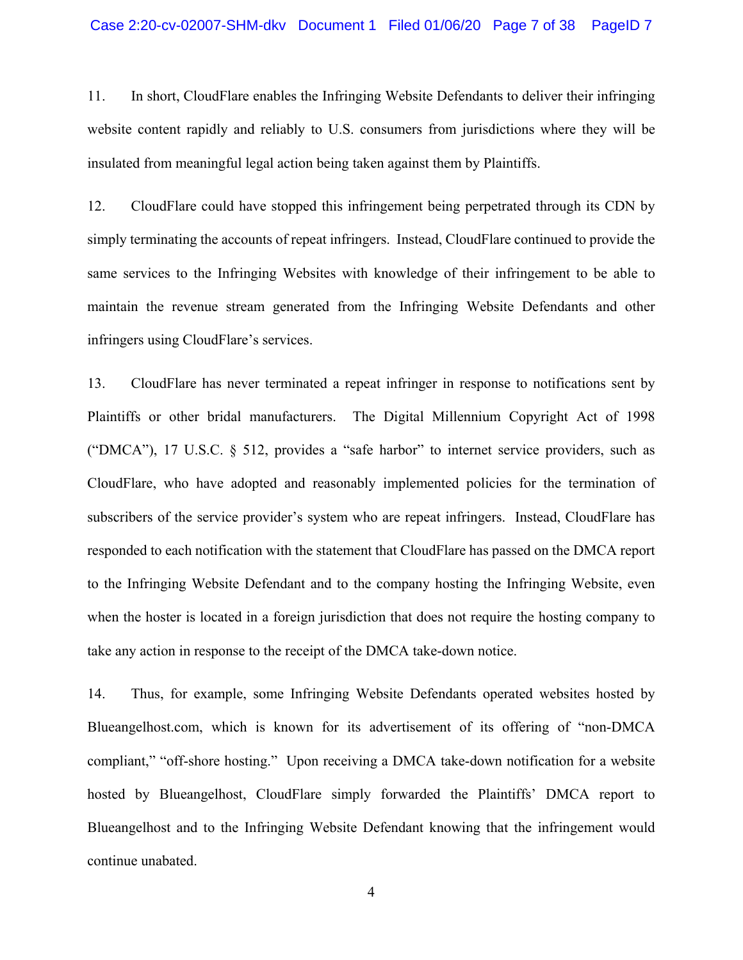11. In short, CloudFlare enables the Infringing Website Defendants to deliver their infringing website content rapidly and reliably to U.S. consumers from jurisdictions where they will be insulated from meaningful legal action being taken against them by Plaintiffs.

12. CloudFlare could have stopped this infringement being perpetrated through its CDN by simply terminating the accounts of repeat infringers. Instead, CloudFlare continued to provide the same services to the Infringing Websites with knowledge of their infringement to be able to maintain the revenue stream generated from the Infringing Website Defendants and other infringers using CloudFlare's services.

13. CloudFlare has never terminated a repeat infringer in response to notifications sent by Plaintiffs or other bridal manufacturers. The Digital Millennium Copyright Act of 1998 ("DMCA"), 17 U.S.C. § 512, provides a "safe harbor" to internet service providers, such as CloudFlare, who have adopted and reasonably implemented policies for the termination of subscribers of the service provider's system who are repeat infringers. Instead, CloudFlare has responded to each notification with the statement that CloudFlare has passed on the DMCA report to the Infringing Website Defendant and to the company hosting the Infringing Website, even when the hoster is located in a foreign jurisdiction that does not require the hosting company to take any action in response to the receipt of the DMCA take-down notice.

14. Thus, for example, some Infringing Website Defendants operated websites hosted by Blueangelhost.com, which is known for its advertisement of its offering of "non-DMCA compliant," "off-shore hosting." Upon receiving a DMCA take-down notification for a website hosted by Blueangelhost, CloudFlare simply forwarded the Plaintiffs' DMCA report to Blueangelhost and to the Infringing Website Defendant knowing that the infringement would continue unabated.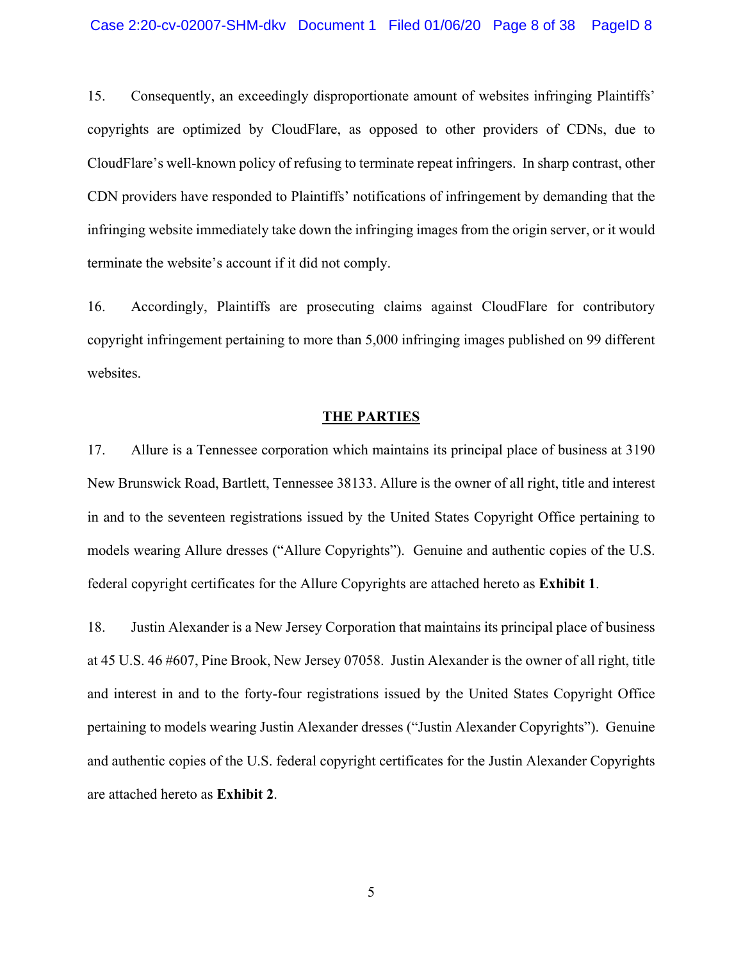15. Consequently, an exceedingly disproportionate amount of websites infringing Plaintiffs' copyrights are optimized by CloudFlare, as opposed to other providers of CDNs, due to CloudFlare's well-known policy of refusing to terminate repeat infringers. In sharp contrast, other CDN providers have responded to Plaintiffs' notifications of infringement by demanding that the infringing website immediately take down the infringing images from the origin server, or it would terminate the website's account if it did not comply.

16. Accordingly, Plaintiffs are prosecuting claims against CloudFlare for contributory copyright infringement pertaining to more than 5,000 infringing images published on 99 different websites.

#### **THE PARTIES**

17. Allure is a Tennessee corporation which maintains its principal place of business at 3190 New Brunswick Road, Bartlett, Tennessee 38133. Allure is the owner of all right, title and interest in and to the seventeen registrations issued by the United States Copyright Office pertaining to models wearing Allure dresses ("Allure Copyrights"). Genuine and authentic copies of the U.S. federal copyright certificates for the Allure Copyrights are attached hereto as **Exhibit 1**.

18. Justin Alexander is a New Jersey Corporation that maintains its principal place of business at 45 U.S. 46 #607, Pine Brook, New Jersey 07058. Justin Alexander is the owner of all right, title and interest in and to the forty-four registrations issued by the United States Copyright Office pertaining to models wearing Justin Alexander dresses ("Justin Alexander Copyrights"). Genuine and authentic copies of the U.S. federal copyright certificates for the Justin Alexander Copyrights are attached hereto as **Exhibit 2**.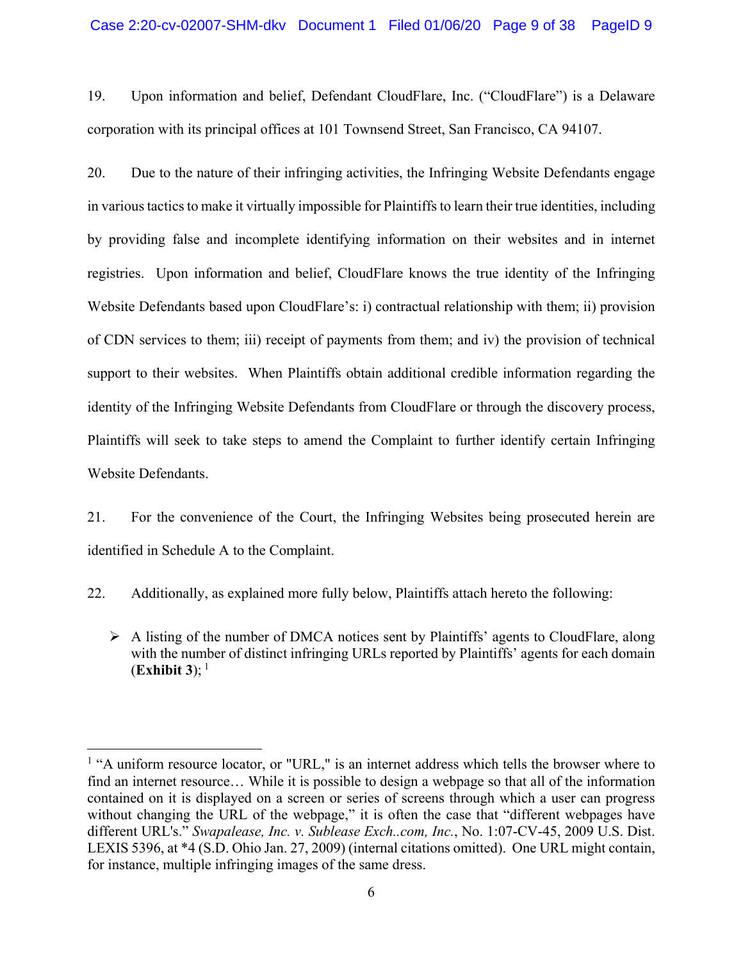### Case 2:20-cv-02007-SHM-dkv Document 1 Filed 01/06/20 Page 9 of 38 PageID 9

19. Upon information and belief, Defendant CloudFlare, Inc. ("CloudFlare") is a Delaware corporation with its principal offices at 101 Townsend Street, San Francisco, CA 94107.

20. Due to the nature of their infringing activities, the Infringing Website Defendants engage in various tactics to make it virtually impossible for Plaintiffs to learn their true identities, including by providing false and incomplete identifying information on their websites and in internet registries. Upon information and belief, CloudFlare knows the true identity of the Infringing Website Defendants based upon CloudFlare's: i) contractual relationship with them; ii) provision of CDN services to them; iii) receipt of payments from them; and iv) the provision of technical support to their websites. When Plaintiffs obtain additional credible information regarding the identity of the Infringing Website Defendants from CloudFlare or through the discovery process, Plaintiffs will seek to take steps to amend the Complaint to further identify certain Infringing Website Defendants.

21. For the convenience of the Court, the Infringing Websites being prosecuted herein are identified in Schedule A to the Complaint.

22. Additionally, as explained more fully below, Plaintiffs attach hereto the following:

 $\triangleright$  A listing of the number of DMCA notices sent by Plaintiffs' agents to CloudFlare, along with the number of distinct infringing URLs reported by Plaintiffs' agents for each domain  $(Exhibit 3)$ ;<sup>1</sup>

<sup>&</sup>lt;sup>1</sup> "A uniform resource locator, or "URL," is an internet address which tells the browser where to find an internet resource… While it is possible to design a webpage so that all of the information contained on it is displayed on a screen or series of screens through which a user can progress without changing the URL of the webpage," it is often the case that "different webpages have different URL's." *Swapalease, Inc. v. Sublease Exch..com, Inc.*, No. 1:07-CV-45, 2009 U.S. Dist. LEXIS 5396, at \*4 (S.D. Ohio Jan. 27, 2009) (internal citations omitted). One URL might contain, for instance, multiple infringing images of the same dress.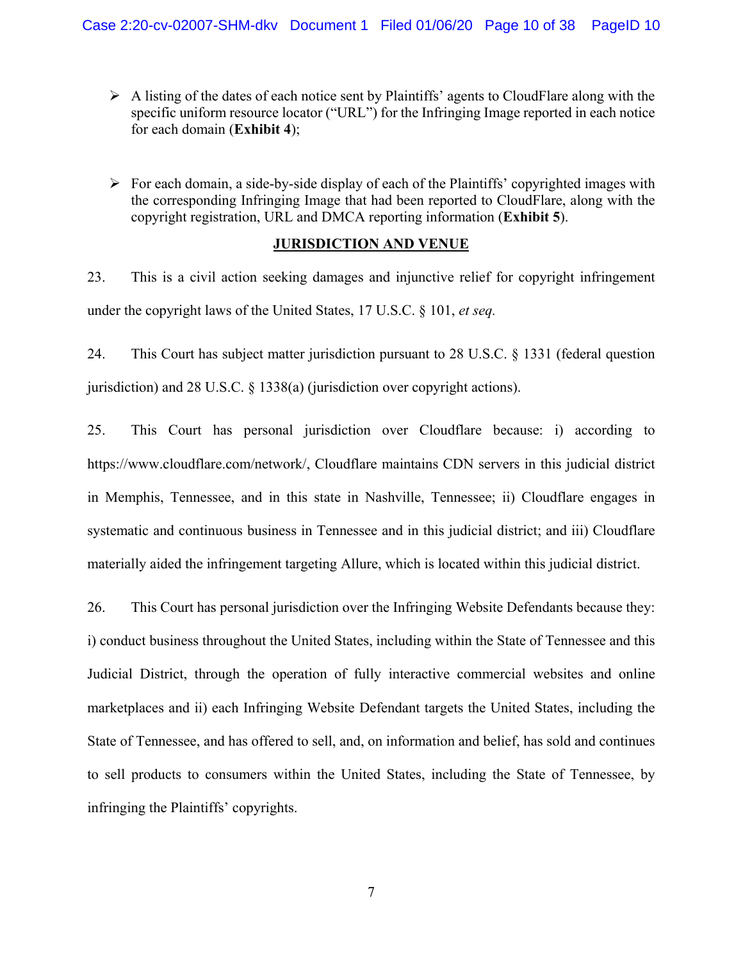- $\triangleright$  A listing of the dates of each notice sent by Plaintiffs' agents to CloudFlare along with the specific uniform resource locator ("URL") for the Infringing Image reported in each notice for each domain (**Exhibit 4**);
- $\triangleright$  For each domain, a side-by-side display of each of the Plaintiffs' copyrighted images with the corresponding Infringing Image that had been reported to CloudFlare, along with the copyright registration, URL and DMCA reporting information (**Exhibit 5**).

### **JURISDICTION AND VENUE**

23. This is a civil action seeking damages and injunctive relief for copyright infringement under the copyright laws of the United States, 17 U.S.C. § 101, *et seq.*

24. This Court has subject matter jurisdiction pursuant to 28 U.S.C. § 1331 (federal question jurisdiction) and 28 U.S.C. § 1338(a) (jurisdiction over copyright actions).

25. This Court has personal jurisdiction over Cloudflare because: i) according to https://www.cloudflare.com/network/, Cloudflare maintains CDN servers in this judicial district in Memphis, Tennessee, and in this state in Nashville, Tennessee; ii) Cloudflare engages in systematic and continuous business in Tennessee and in this judicial district; and iii) Cloudflare materially aided the infringement targeting Allure, which is located within this judicial district.

26. This Court has personal jurisdiction over the Infringing Website Defendants because they: i) conduct business throughout the United States, including within the State of Tennessee and this Judicial District, through the operation of fully interactive commercial websites and online marketplaces and ii) each Infringing Website Defendant targets the United States, including the State of Tennessee, and has offered to sell, and, on information and belief, has sold and continues to sell products to consumers within the United States, including the State of Tennessee, by infringing the Plaintiffs' copyrights.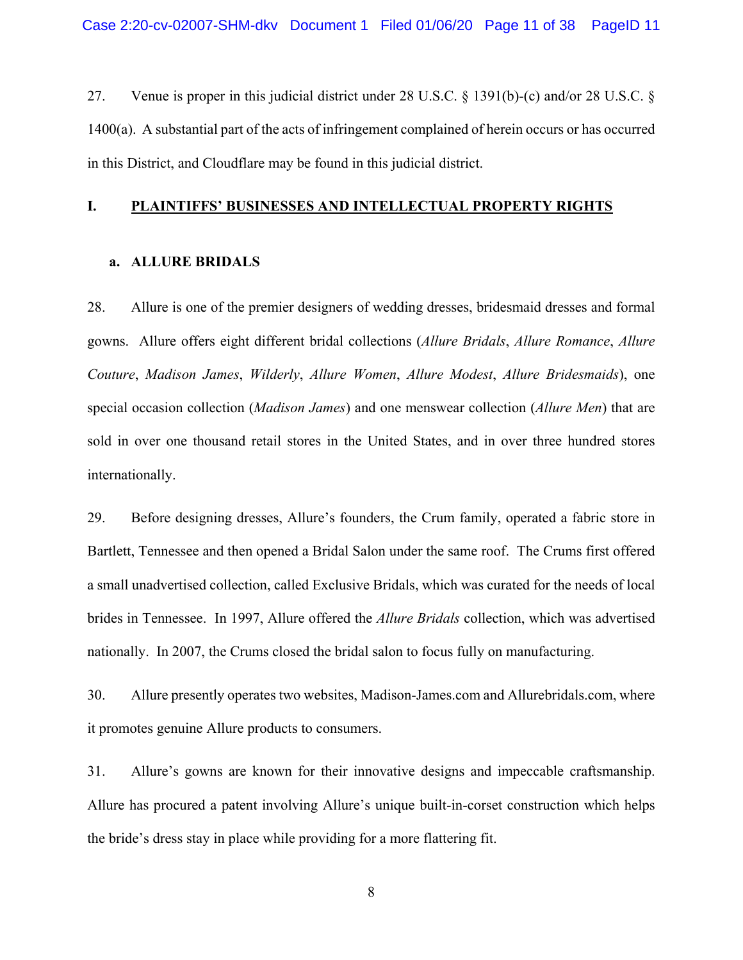27. Venue is proper in this judicial district under 28 U.S.C. § 1391(b)-(c) and/or 28 U.S.C. § 1400(a). A substantial part of the acts of infringement complained of herein occurs or has occurred in this District, and Cloudflare may be found in this judicial district.

#### **I. PLAINTIFFS' BUSINESSES AND INTELLECTUAL PROPERTY RIGHTS**

#### **a. ALLURE BRIDALS**

28. Allure is one of the premier designers of wedding dresses, bridesmaid dresses and formal gowns. Allure offers eight different bridal collections (*Allure Bridals*, *Allure Romance*, *Allure Couture*, *Madison James*, *Wilderly*, *Allure Women*, *Allure Modest*, *Allure Bridesmaids*), one special occasion collection (*Madison James*) and one menswear collection (*Allure Men*) that are sold in over one thousand retail stores in the United States, and in over three hundred stores internationally.

29. Before designing dresses, Allure's founders, the Crum family, operated a fabric store in Bartlett, Tennessee and then opened a Bridal Salon under the same roof. The Crums first offered a small unadvertised collection, called Exclusive Bridals, which was curated for the needs of local brides in Tennessee. In 1997, Allure offered the *Allure Bridals* collection, which was advertised nationally. In 2007, the Crums closed the bridal salon to focus fully on manufacturing.

30. Allure presently operates two websites, Madison-James.com and Allurebridals.com, where it promotes genuine Allure products to consumers.

31. Allure's gowns are known for their innovative designs and impeccable craftsmanship. Allure has procured a patent involving Allure's unique built-in-corset construction which helps the bride's dress stay in place while providing for a more flattering fit.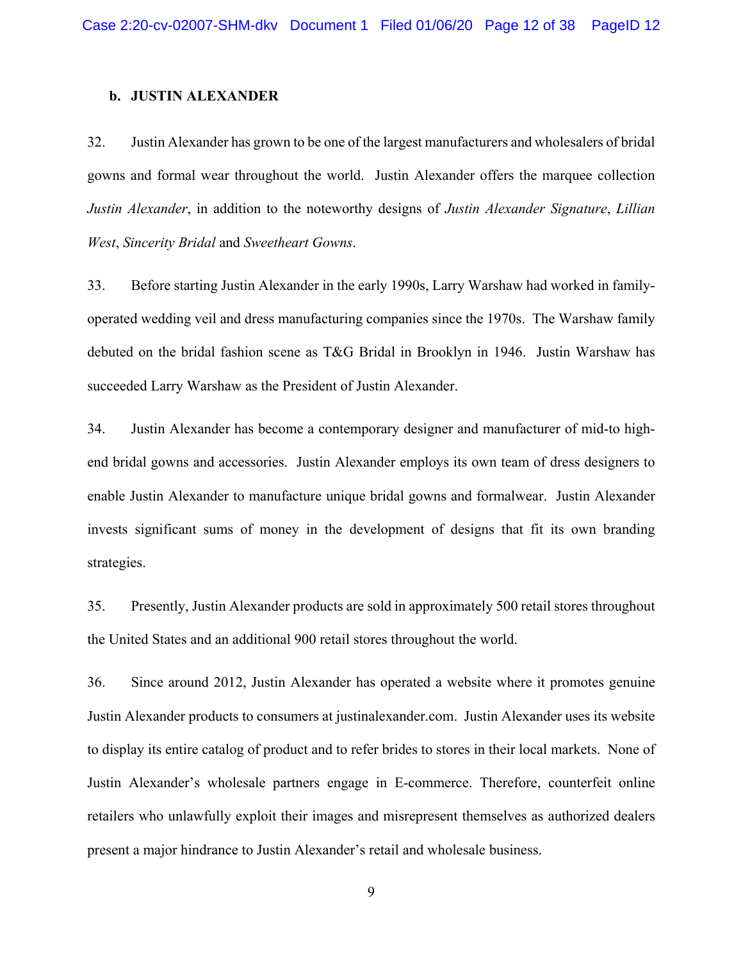#### **b. JUSTIN ALEXANDER**

32. Justin Alexander has grown to be one of the largest manufacturers and wholesalers of bridal gowns and formal wear throughout the world. Justin Alexander offers the marquee collection *Justin Alexander*, in addition to the noteworthy designs of *Justin Alexander Signature*, *Lillian West*, *Sincerity Bridal* and *Sweetheart Gowns*.

33. Before starting Justin Alexander in the early 1990s, Larry Warshaw had worked in familyoperated wedding veil and dress manufacturing companies since the 1970s. The Warshaw family debuted on the bridal fashion scene as T&G Bridal in Brooklyn in 1946. Justin Warshaw has succeeded Larry Warshaw as the President of Justin Alexander.

34. Justin Alexander has become a contemporary designer and manufacturer of mid-to highend bridal gowns and accessories. Justin Alexander employs its own team of dress designers to enable Justin Alexander to manufacture unique bridal gowns and formalwear. Justin Alexander invests significant sums of money in the development of designs that fit its own branding strategies.

35. Presently, Justin Alexander products are sold in approximately 500 retail stores throughout the United States and an additional 900 retail stores throughout the world.

36. Since around 2012, Justin Alexander has operated a website where it promotes genuine Justin Alexander products to consumers at justinalexander.com. Justin Alexander uses its website to display its entire catalog of product and to refer brides to stores in their local markets. None of Justin Alexander's wholesale partners engage in E-commerce. Therefore, counterfeit online retailers who unlawfully exploit their images and misrepresent themselves as authorized dealers present a major hindrance to Justin Alexander's retail and wholesale business.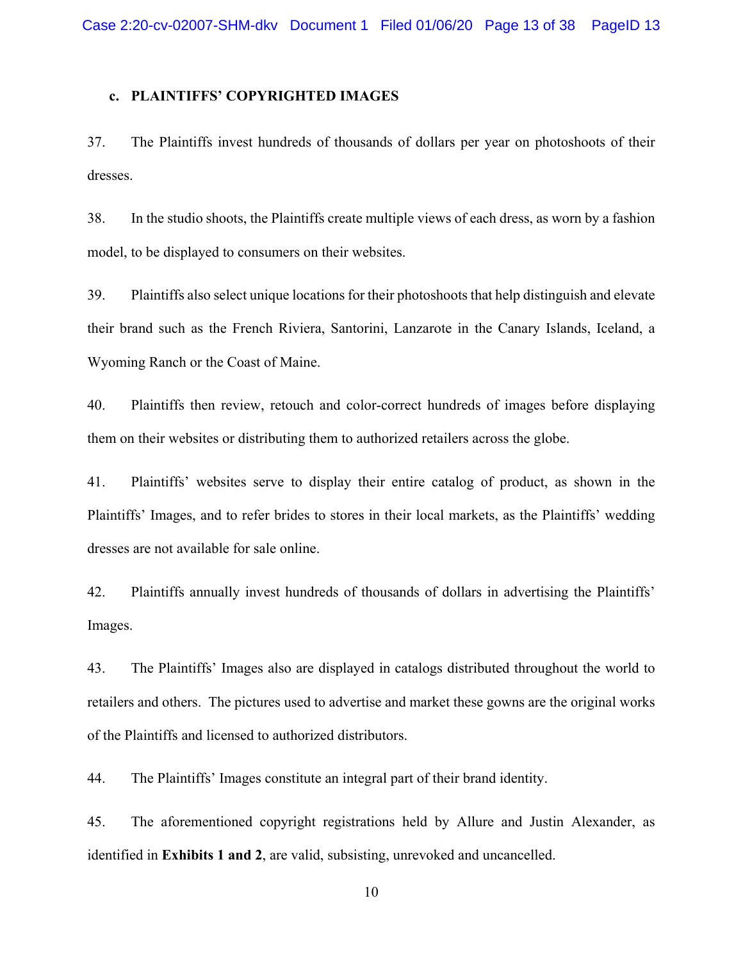#### **c. PLAINTIFFS' COPYRIGHTED IMAGES**

37. The Plaintiffs invest hundreds of thousands of dollars per year on photoshoots of their dresses.

38. In the studio shoots, the Plaintiffs create multiple views of each dress, as worn by a fashion model, to be displayed to consumers on their websites.

39. Plaintiffs also select unique locations for their photoshoots that help distinguish and elevate their brand such as the French Riviera, Santorini, Lanzarote in the Canary Islands, Iceland, a Wyoming Ranch or the Coast of Maine.

40. Plaintiffs then review, retouch and color-correct hundreds of images before displaying them on their websites or distributing them to authorized retailers across the globe.

41. Plaintiffs' websites serve to display their entire catalog of product, as shown in the Plaintiffs' Images, and to refer brides to stores in their local markets, as the Plaintiffs' wedding dresses are not available for sale online.

42. Plaintiffs annually invest hundreds of thousands of dollars in advertising the Plaintiffs' Images.

43. The Plaintiffs' Images also are displayed in catalogs distributed throughout the world to retailers and others. The pictures used to advertise and market these gowns are the original works of the Plaintiffs and licensed to authorized distributors.

44. The Plaintiffs' Images constitute an integral part of their brand identity.

45. The aforementioned copyright registrations held by Allure and Justin Alexander, as identified in **Exhibits 1 and 2**, are valid, subsisting, unrevoked and uncancelled.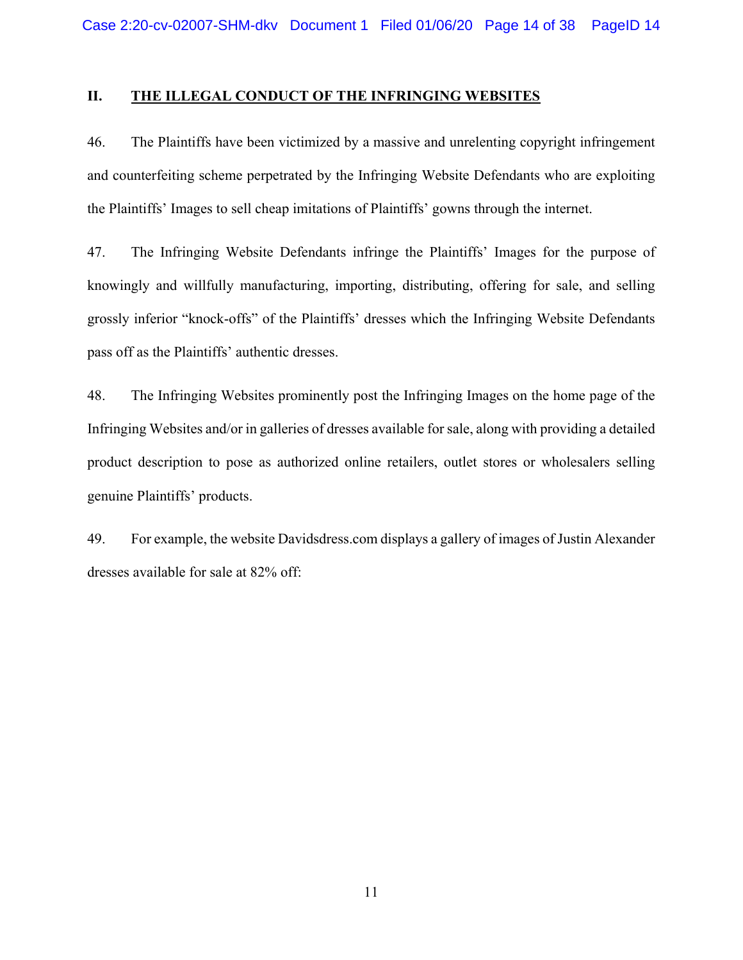#### **II. THE ILLEGAL CONDUCT OF THE INFRINGING WEBSITES**

46. The Plaintiffs have been victimized by a massive and unrelenting copyright infringement and counterfeiting scheme perpetrated by the Infringing Website Defendants who are exploiting the Plaintiffs' Images to sell cheap imitations of Plaintiffs' gowns through the internet.

47. The Infringing Website Defendants infringe the Plaintiffs' Images for the purpose of knowingly and willfully manufacturing, importing, distributing, offering for sale, and selling grossly inferior "knock-offs" of the Plaintiffs' dresses which the Infringing Website Defendants pass off as the Plaintiffs' authentic dresses.

48. The Infringing Websites prominently post the Infringing Images on the home page of the Infringing Websites and/or in galleries of dresses available for sale, along with providing a detailed product description to pose as authorized online retailers, outlet stores or wholesalers selling genuine Plaintiffs' products.

49. For example, the website Davidsdress.com displays a gallery of images of Justin Alexander dresses available for sale at 82% off: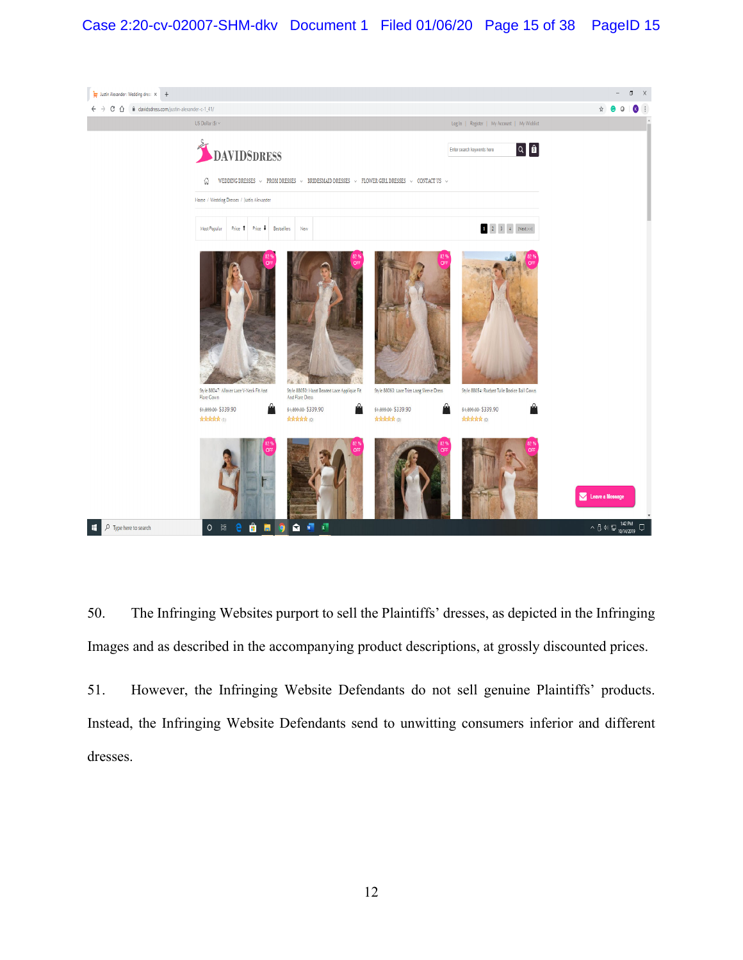Case 2:20-cv-02007-SHM-dkv Document 1 Filed 01/06/20 Page 15 of 38 PageID 15



50. The Infringing Websites purport to sell the Plaintiffs' dresses, as depicted in the Infringing Images and as described in the accompanying product descriptions, at grossly discounted prices.

51. However, the Infringing Website Defendants do not sell genuine Plaintiffs' products. Instead, the Infringing Website Defendants send to unwitting consumers inferior and different dresses.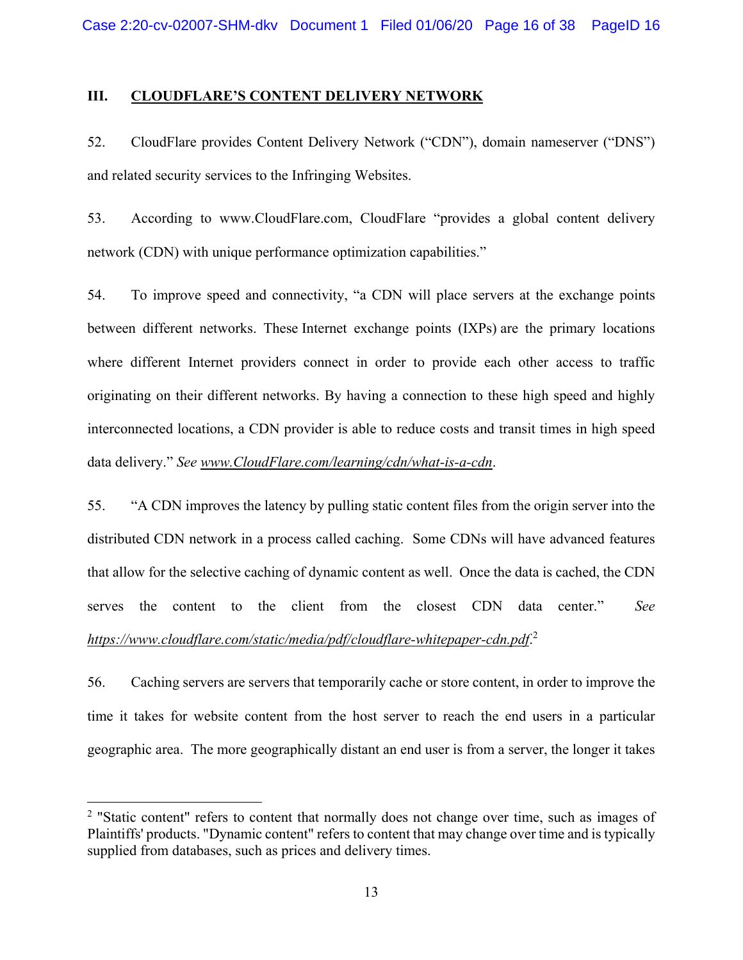#### **III. CLOUDFLARE'S CONTENT DELIVERY NETWORK**

52. CloudFlare provides Content Delivery Network ("CDN"), domain nameserver ("DNS") and related security services to the Infringing Websites.

53. According to www.CloudFlare.com, CloudFlare "provides a global content delivery network (CDN) with unique performance optimization capabilities."

54. To improve speed and connectivity, "a CDN will place servers at the exchange points between different networks. These Internet exchange points (IXPs) are the primary locations where different Internet providers connect in order to provide each other access to traffic originating on their different networks. By having a connection to these high speed and highly interconnected locations, a CDN provider is able to reduce costs and transit times in high speed data delivery." *See www.CloudFlare.com/learning/cdn/what-is-a-cdn*.

55. "A CDN improves the latency by pulling static content files from the origin server into the distributed CDN network in a process called caching. Some CDNs will have advanced features that allow for the selective caching of dynamic content as well. Once the data is cached, the CDN serves the content to the client from the closest CDN data center." *See https://www.cloudflare.com/static/media/pdf/cloudflare-whitepaper-cdn.pdf*. 2

56. Caching servers are servers that temporarily cache or store content, in order to improve the time it takes for website content from the host server to reach the end users in a particular geographic area. The more geographically distant an end user is from a server, the longer it takes

<sup>&</sup>lt;sup>2</sup> "Static content" refers to content that normally does not change over time, such as images of Plaintiffs' products. "Dynamic content" refers to content that may change over time and is typically supplied from databases, such as prices and delivery times.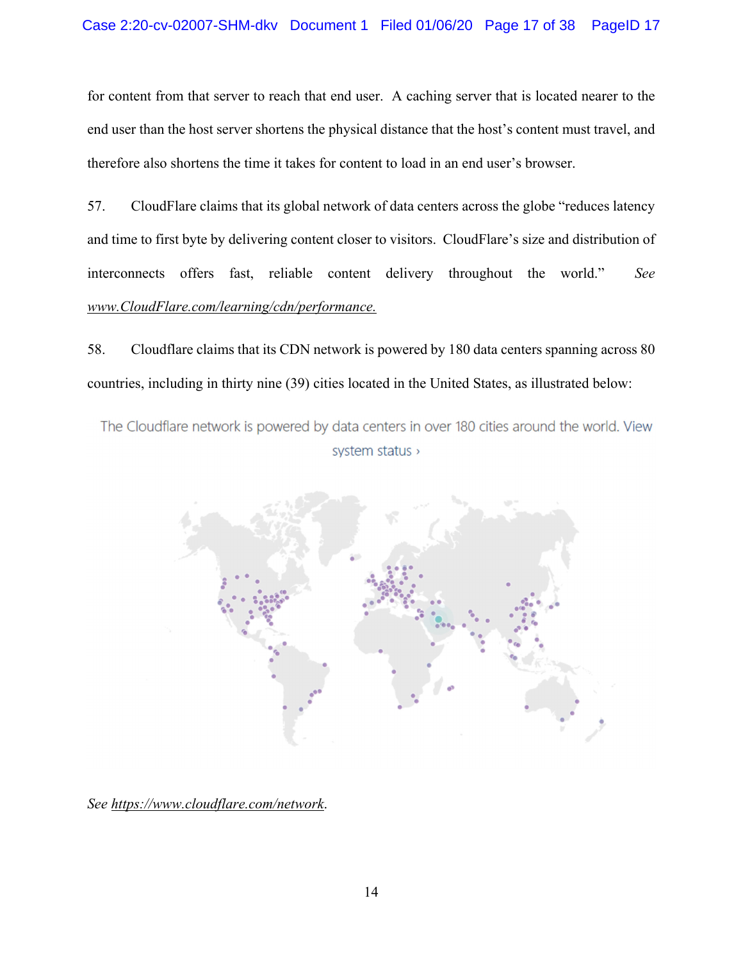for content from that server to reach that end user. A caching server that is located nearer to the end user than the host server shortens the physical distance that the host's content must travel, and therefore also shortens the time it takes for content to load in an end user's browser.

57. CloudFlare claims that its global network of data centers across the globe "reduces latency and time to first byte by delivering content closer to visitors. CloudFlare's size and distribution of interconnects offers fast, reliable content delivery throughout the world." *See www.CloudFlare.com/learning/cdn/performance.* 

58. Cloudflare claims that its CDN network is powered by 180 data centers spanning across 80 countries, including in thirty nine (39) cities located in the United States, as illustrated below:

The Cloudflare network is powered by data centers in over 180 cities around the world. View system status >



*See https://www.cloudflare.com/network*.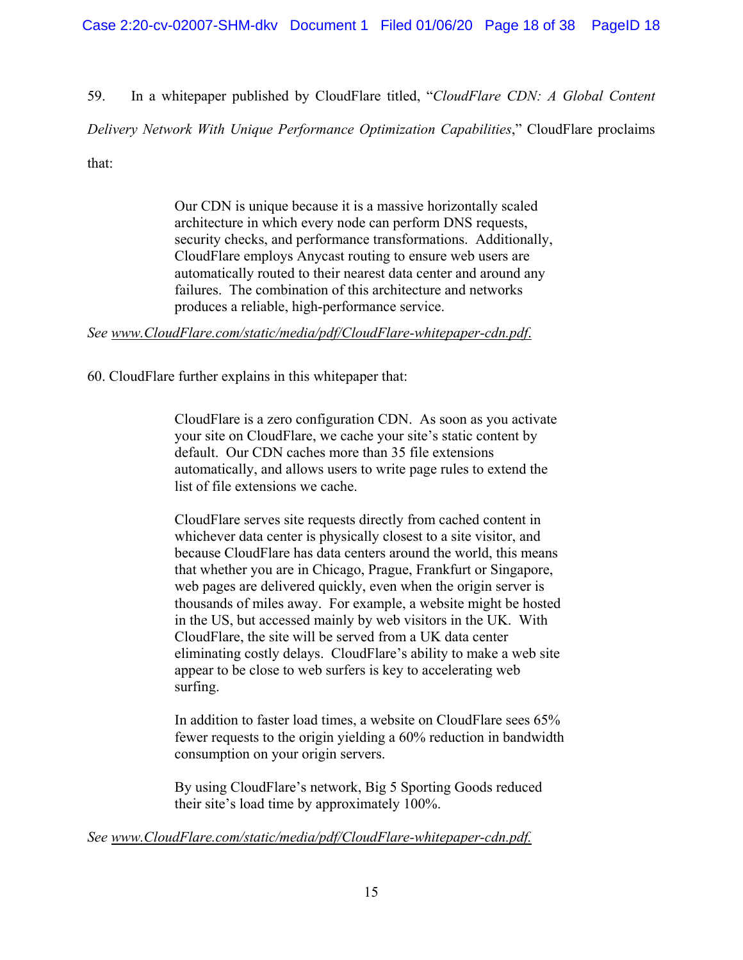59. In a whitepaper published by CloudFlare titled, "*CloudFlare CDN: A Global Content* 

*Delivery Network With Unique Performance Optimization Capabilities*," CloudFlare proclaims

that:

Our CDN is unique because it is a massive horizontally scaled architecture in which every node can perform DNS requests, security checks, and performance transformations. Additionally, CloudFlare employs Anycast routing to ensure web users are automatically routed to their nearest data center and around any failures. The combination of this architecture and networks produces a reliable, high-performance service.

### *See www.CloudFlare.com/static/media/pdf/CloudFlare-whitepaper-cdn.pdf*.

60. CloudFlare further explains in this whitepaper that:

CloudFlare is a zero configuration CDN. As soon as you activate your site on CloudFlare, we cache your site's static content by default. Our CDN caches more than 35 file extensions automatically, and allows users to write page rules to extend the list of file extensions we cache.

CloudFlare serves site requests directly from cached content in whichever data center is physically closest to a site visitor, and because CloudFlare has data centers around the world, this means that whether you are in Chicago, Prague, Frankfurt or Singapore, web pages are delivered quickly, even when the origin server is thousands of miles away. For example, a website might be hosted in the US, but accessed mainly by web visitors in the UK. With CloudFlare, the site will be served from a UK data center eliminating costly delays. CloudFlare's ability to make a web site appear to be close to web surfers is key to accelerating web surfing.

In addition to faster load times, a website on CloudFlare sees 65% fewer requests to the origin yielding a 60% reduction in bandwidth consumption on your origin servers.

By using CloudFlare's network, Big 5 Sporting Goods reduced their site's load time by approximately 100%.

*See www.CloudFlare.com/static/media/pdf/CloudFlare-whitepaper-cdn.pdf.*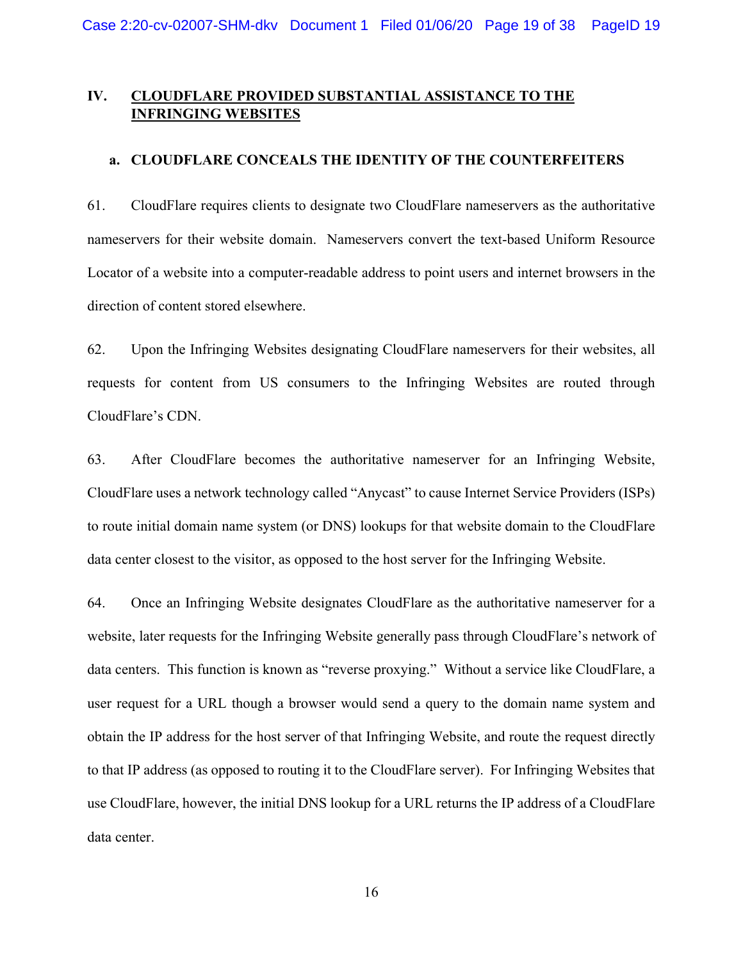### **IV. CLOUDFLARE PROVIDED SUBSTANTIAL ASSISTANCE TO THE INFRINGING WEBSITES**

#### **a. CLOUDFLARE CONCEALS THE IDENTITY OF THE COUNTERFEITERS**

61. CloudFlare requires clients to designate two CloudFlare nameservers as the authoritative nameservers for their website domain. Nameservers convert the text-based Uniform Resource Locator of a website into a computer-readable address to point users and internet browsers in the direction of content stored elsewhere.

62. Upon the Infringing Websites designating CloudFlare nameservers for their websites, all requests for content from US consumers to the Infringing Websites are routed through CloudFlare's CDN.

63. After CloudFlare becomes the authoritative nameserver for an Infringing Website, CloudFlare uses a network technology called "Anycast" to cause Internet Service Providers (ISPs) to route initial domain name system (or DNS) lookups for that website domain to the CloudFlare data center closest to the visitor, as opposed to the host server for the Infringing Website.

64. Once an Infringing Website designates CloudFlare as the authoritative nameserver for a website, later requests for the Infringing Website generally pass through CloudFlare's network of data centers. This function is known as "reverse proxying." Without a service like CloudFlare, a user request for a URL though a browser would send a query to the domain name system and obtain the IP address for the host server of that Infringing Website, and route the request directly to that IP address (as opposed to routing it to the CloudFlare server). For Infringing Websites that use CloudFlare, however, the initial DNS lookup for a URL returns the IP address of a CloudFlare data center.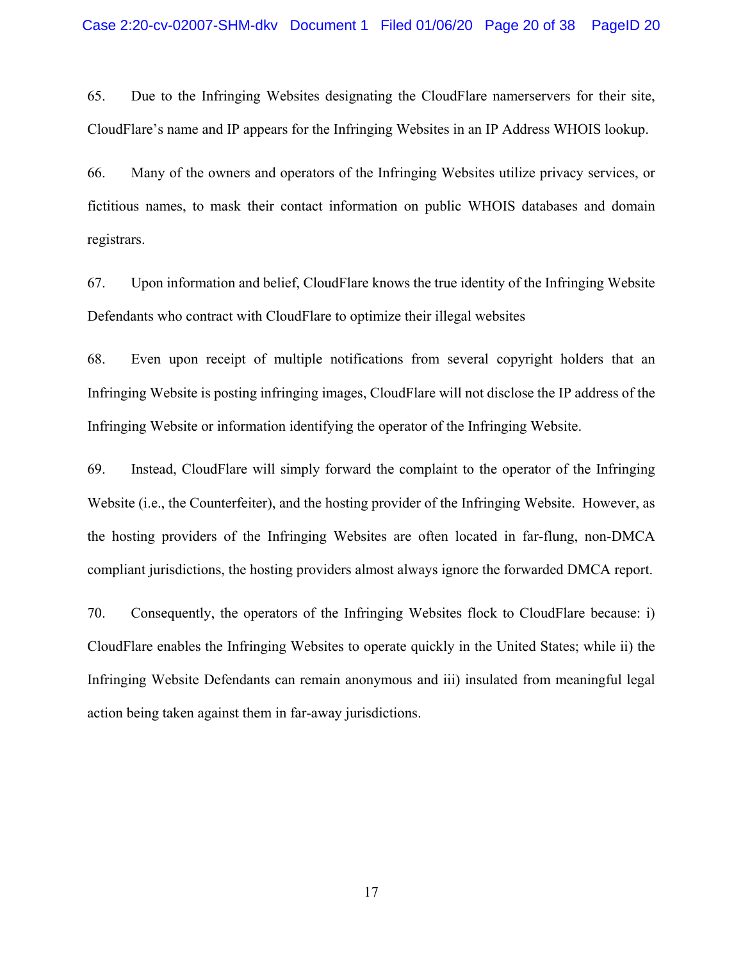65. Due to the Infringing Websites designating the CloudFlare namerservers for their site, CloudFlare's name and IP appears for the Infringing Websites in an IP Address WHOIS lookup.

66. Many of the owners and operators of the Infringing Websites utilize privacy services, or fictitious names, to mask their contact information on public WHOIS databases and domain registrars.

67. Upon information and belief, CloudFlare knows the true identity of the Infringing Website Defendants who contract with CloudFlare to optimize their illegal websites

68. Even upon receipt of multiple notifications from several copyright holders that an Infringing Website is posting infringing images, CloudFlare will not disclose the IP address of the Infringing Website or information identifying the operator of the Infringing Website.

69. Instead, CloudFlare will simply forward the complaint to the operator of the Infringing Website (i.e., the Counterfeiter), and the hosting provider of the Infringing Website. However, as the hosting providers of the Infringing Websites are often located in far-flung, non-DMCA compliant jurisdictions, the hosting providers almost always ignore the forwarded DMCA report.

70. Consequently, the operators of the Infringing Websites flock to CloudFlare because: i) CloudFlare enables the Infringing Websites to operate quickly in the United States; while ii) the Infringing Website Defendants can remain anonymous and iii) insulated from meaningful legal action being taken against them in far-away jurisdictions.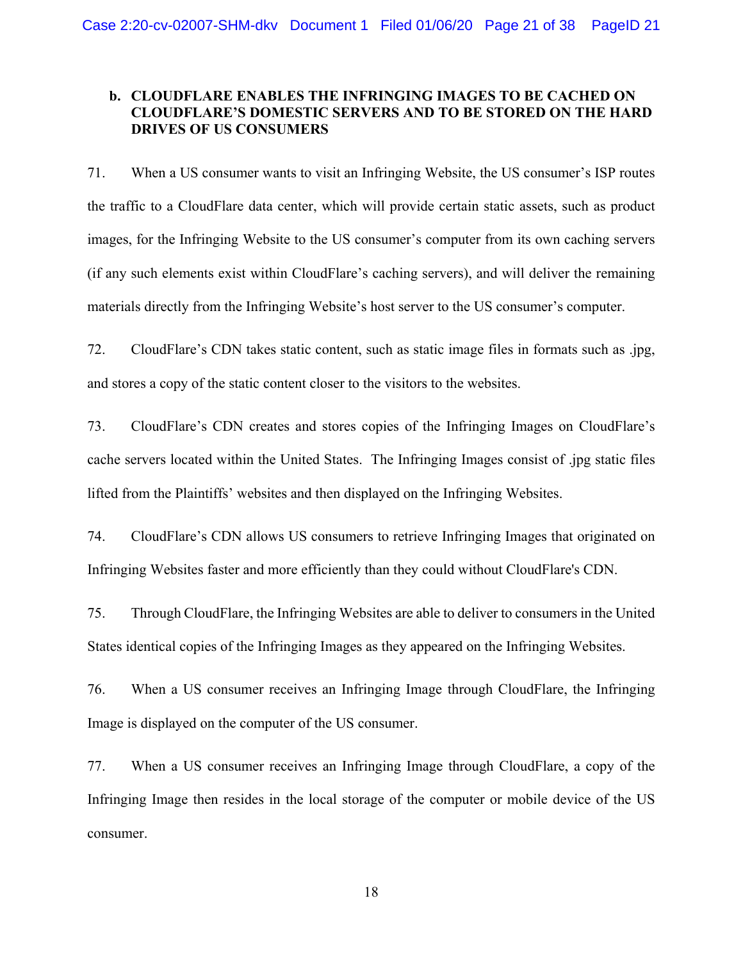### **b. CLOUDFLARE ENABLES THE INFRINGING IMAGES TO BE CACHED ON CLOUDFLARE'S DOMESTIC SERVERS AND TO BE STORED ON THE HARD DRIVES OF US CONSUMERS**

71. When a US consumer wants to visit an Infringing Website, the US consumer's ISP routes the traffic to a CloudFlare data center, which will provide certain static assets, such as product images, for the Infringing Website to the US consumer's computer from its own caching servers (if any such elements exist within CloudFlare's caching servers), and will deliver the remaining materials directly from the Infringing Website's host server to the US consumer's computer.

72. CloudFlare's CDN takes static content, such as static image files in formats such as .jpg, and stores a copy of the static content closer to the visitors to the websites.

73. CloudFlare's CDN creates and stores copies of the Infringing Images on CloudFlare's cache servers located within the United States. The Infringing Images consist of .jpg static files lifted from the Plaintiffs' websites and then displayed on the Infringing Websites.

74. CloudFlare's CDN allows US consumers to retrieve Infringing Images that originated on Infringing Websites faster and more efficiently than they could without CloudFlare's CDN.

75. Through CloudFlare, the Infringing Websites are able to deliver to consumers in the United States identical copies of the Infringing Images as they appeared on the Infringing Websites.

76. When a US consumer receives an Infringing Image through CloudFlare, the Infringing Image is displayed on the computer of the US consumer.

77. When a US consumer receives an Infringing Image through CloudFlare, a copy of the Infringing Image then resides in the local storage of the computer or mobile device of the US consumer.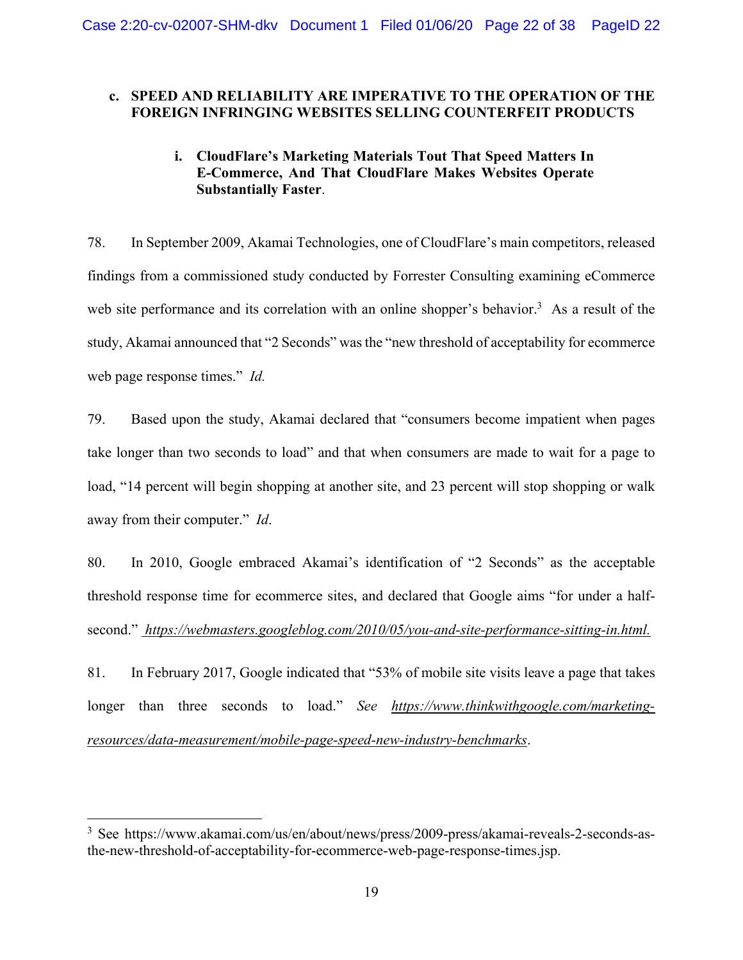#### **c. SPEED AND RELIABILITY ARE IMPERATIVE TO THE OPERATION OF THE FOREIGN INFRINGING WEBSITES SELLING COUNTERFEIT PRODUCTS**

### **i. CloudFlare's Marketing Materials Tout That Speed Matters In E-Commerce, And That CloudFlare Makes Websites Operate Substantially Faster**.

78. In September 2009, Akamai Technologies, one of CloudFlare's main competitors, released findings from a commissioned study conducted by Forrester Consulting examining eCommerce web site performance and its correlation with an online shopper's behavior.<sup>3</sup> As a result of the study, Akamai announced that "2 Seconds" was the "new threshold of acceptability for ecommerce web page response times." *Id.* 

79. Based upon the study, Akamai declared that "consumers become impatient when pages take longer than two seconds to load" and that when consumers are made to wait for a page to load, "14 percent will begin shopping at another site, and 23 percent will stop shopping or walk away from their computer." *Id*.

80. In 2010, Google embraced Akamai's identification of "2 Seconds" as the acceptable threshold response time for ecommerce sites, and declared that Google aims "for under a halfsecond." *https://webmasters.googleblog.com/2010/05/you-and-site-performance-sitting-in.html.*

81. In February 2017, Google indicated that "53% of mobile site visits leave a page that takes longer than three seconds to load." *See https://www.thinkwithgoogle.com/marketingresources/data-measurement/mobile-page-speed-new-industry-benchmarks*.

<sup>&</sup>lt;sup>3</sup> See https://www.akamai.com/us/en/about/news/press/2009-press/akamai-reveals-2-seconds-asthe-new-threshold-of-acceptability-for-ecommerce-web-page-response-times.jsp.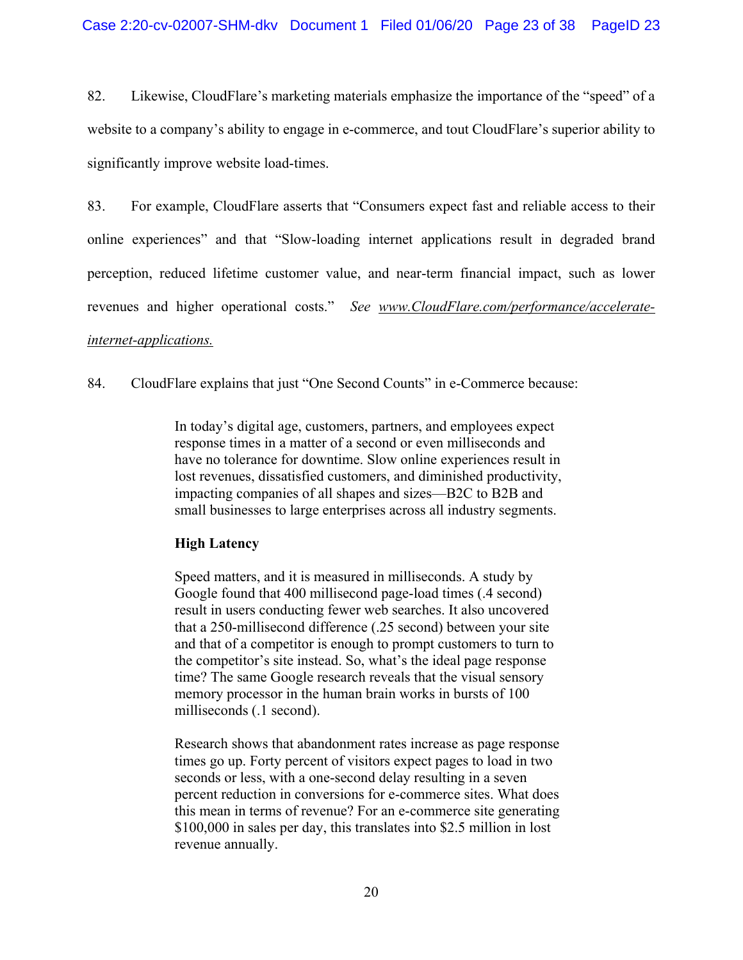82. Likewise, CloudFlare's marketing materials emphasize the importance of the "speed" of a website to a company's ability to engage in e-commerce, and tout CloudFlare's superior ability to significantly improve website load-times.

83. For example, CloudFlare asserts that "Consumers expect fast and reliable access to their online experiences" and that "Slow-loading internet applications result in degraded brand perception, reduced lifetime customer value, and near-term financial impact, such as lower revenues and higher operational costs." *See www.CloudFlare.com/performance/accelerate-*

### *internet-applications.*

84. CloudFlare explains that just "One Second Counts" in e-Commerce because:

In today's digital age, customers, partners, and employees expect response times in a matter of a second or even milliseconds and have no tolerance for downtime. Slow online experiences result in lost revenues, dissatisfied customers, and diminished productivity, impacting companies of all shapes and sizes—B2C to B2B and small businesses to large enterprises across all industry segments.

#### **High Latency**

Speed matters, and it is measured in milliseconds. A study by Google found that 400 millisecond page-load times (.4 second) result in users conducting fewer web searches. It also uncovered that a 250-millisecond difference (.25 second) between your site and that of a competitor is enough to prompt customers to turn to the competitor's site instead. So, what's the ideal page response time? The same Google research reveals that the visual sensory memory processor in the human brain works in bursts of 100 milliseconds (.1 second).

Research shows that abandonment rates increase as page response times go up. Forty percent of visitors expect pages to load in two seconds or less, with a one-second delay resulting in a seven percent reduction in conversions for e-commerce sites. What does this mean in terms of revenue? For an e-commerce site generating \$100,000 in sales per day, this translates into \$2.5 million in lost revenue annually.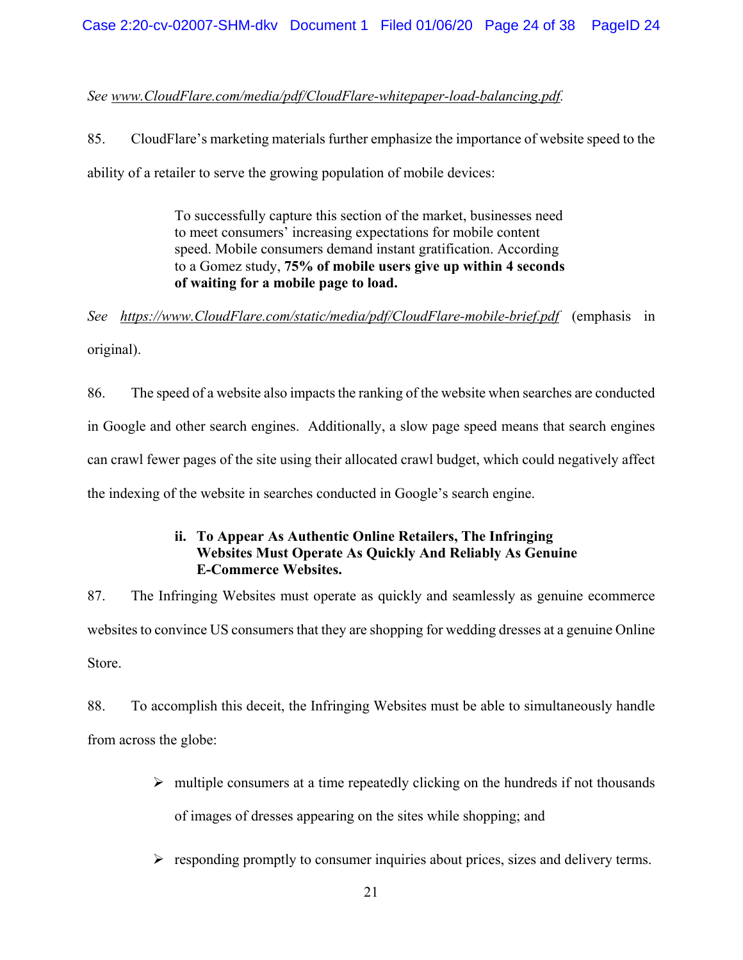*See www.CloudFlare.com/media/pdf/CloudFlare-whitepaper-load-balancing.pdf.* 

85. CloudFlare's marketing materials further emphasize the importance of website speed to the ability of a retailer to serve the growing population of mobile devices:

> To successfully capture this section of the market, businesses need to meet consumers' increasing expectations for mobile content speed. Mobile consumers demand instant gratification. According to a Gomez study, **75% of mobile users give up within 4 seconds of waiting for a mobile page to load.**

*See https://www.CloudFlare.com/static/media/pdf/CloudFlare-mobile-brief.pdf* (emphasis in original).

86. The speed of a website also impacts the ranking of the website when searches are conducted in Google and other search engines. Additionally, a slow page speed means that search engines can crawl fewer pages of the site using their allocated crawl budget, which could negatively affect the indexing of the website in searches conducted in Google's search engine.

### **ii. To Appear As Authentic Online Retailers, The Infringing Websites Must Operate As Quickly And Reliably As Genuine E-Commerce Websites.**

87. The Infringing Websites must operate as quickly and seamlessly as genuine ecommerce websites to convince US consumers that they are shopping for wedding dresses at a genuine Online Store.

88. To accomplish this deceit, the Infringing Websites must be able to simultaneously handle from across the globe:

- $\triangleright$  multiple consumers at a time repeatedly clicking on the hundreds if not thousands of images of dresses appearing on the sites while shopping; and
- $\triangleright$  responding promptly to consumer inquiries about prices, sizes and delivery terms.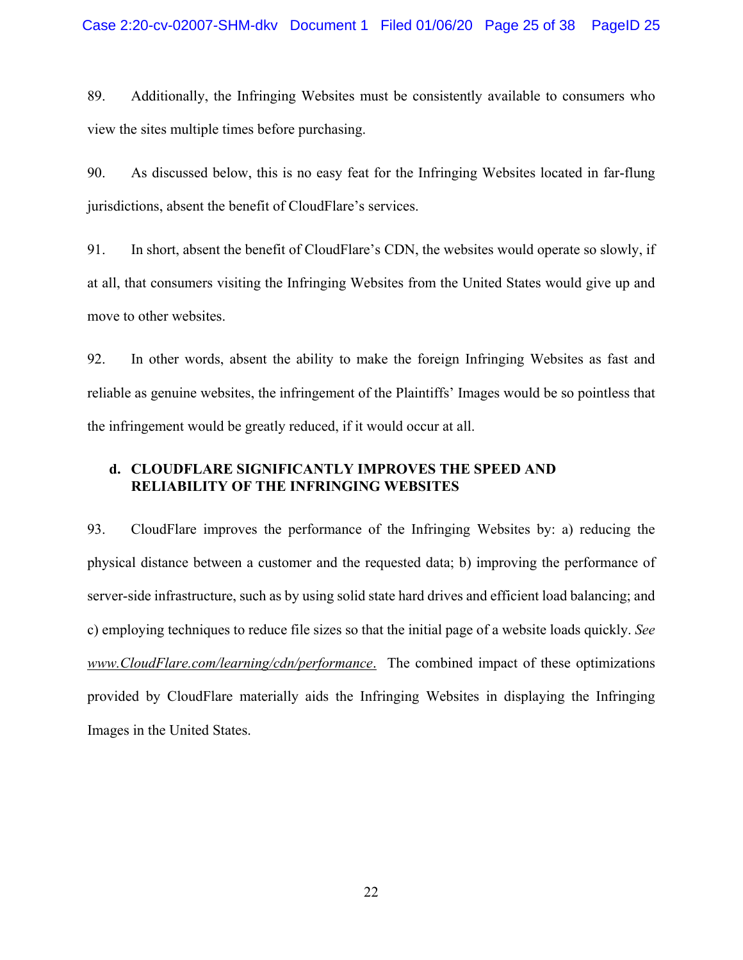89. Additionally, the Infringing Websites must be consistently available to consumers who view the sites multiple times before purchasing.

90. As discussed below, this is no easy feat for the Infringing Websites located in far-flung jurisdictions, absent the benefit of CloudFlare's services.

91. In short, absent the benefit of CloudFlare's CDN, the websites would operate so slowly, if at all, that consumers visiting the Infringing Websites from the United States would give up and move to other websites.

92. In other words, absent the ability to make the foreign Infringing Websites as fast and reliable as genuine websites, the infringement of the Plaintiffs' Images would be so pointless that the infringement would be greatly reduced, if it would occur at all.

### **d. CLOUDFLARE SIGNIFICANTLY IMPROVES THE SPEED AND RELIABILITY OF THE INFRINGING WEBSITES**

93. CloudFlare improves the performance of the Infringing Websites by: a) reducing the physical distance between a customer and the requested data; b) improving the performance of server-side infrastructure, such as by using solid state hard drives and efficient load balancing; and c) employing techniques to reduce file sizes so that the initial page of a website loads quickly. *See www.CloudFlare.com/learning/cdn/performance*. The combined impact of these optimizations provided by CloudFlare materially aids the Infringing Websites in displaying the Infringing Images in the United States.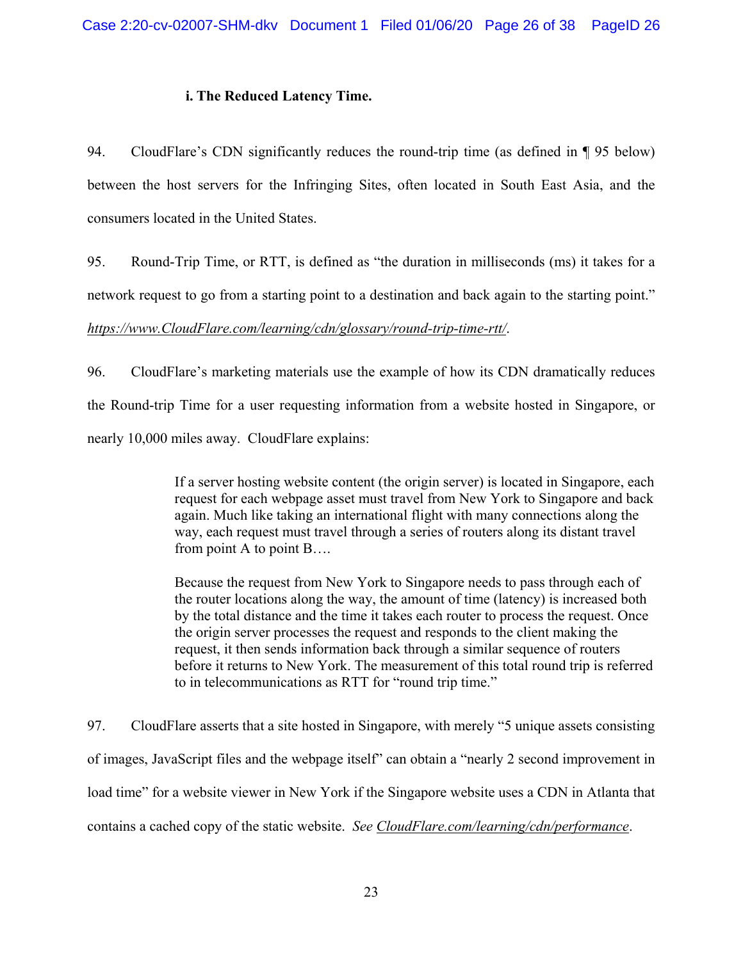#### **i. The Reduced Latency Time.**

94. CloudFlare's CDN significantly reduces the round-trip time (as defined in ¶ 95 below) between the host servers for the Infringing Sites, often located in South East Asia, and the consumers located in the United States.

95. Round-Trip Time, or RTT, is defined as "the duration in milliseconds (ms) it takes for a

network request to go from a starting point to a destination and back again to the starting point."

*https://www.CloudFlare.com/learning/cdn/glossary/round-trip-time-rtt/*.

96. CloudFlare's marketing materials use the example of how its CDN dramatically reduces the Round-trip Time for a user requesting information from a website hosted in Singapore, or nearly 10,000 miles away. CloudFlare explains:

> If a server hosting website content (the origin server) is located in Singapore, each request for each webpage asset must travel from New York to Singapore and back again. Much like taking an international flight with many connections along the way, each request must travel through a series of routers along its distant travel from point A to point B….

> Because the request from New York to Singapore needs to pass through each of the router locations along the way, the amount of time (latency) is increased both by the total distance and the time it takes each router to process the request. Once the origin server processes the request and responds to the client making the request, it then sends information back through a similar sequence of routers before it returns to New York. The measurement of this total round trip is referred to in telecommunications as RTT for "round trip time."

97. CloudFlare asserts that a site hosted in Singapore, with merely "5 unique assets consisting of images, JavaScript files and the webpage itself" can obtain a "nearly 2 second improvement in load time" for a website viewer in New York if the Singapore website uses a CDN in Atlanta that contains a cached copy of the static website. *See CloudFlare.com/learning/cdn/performance*.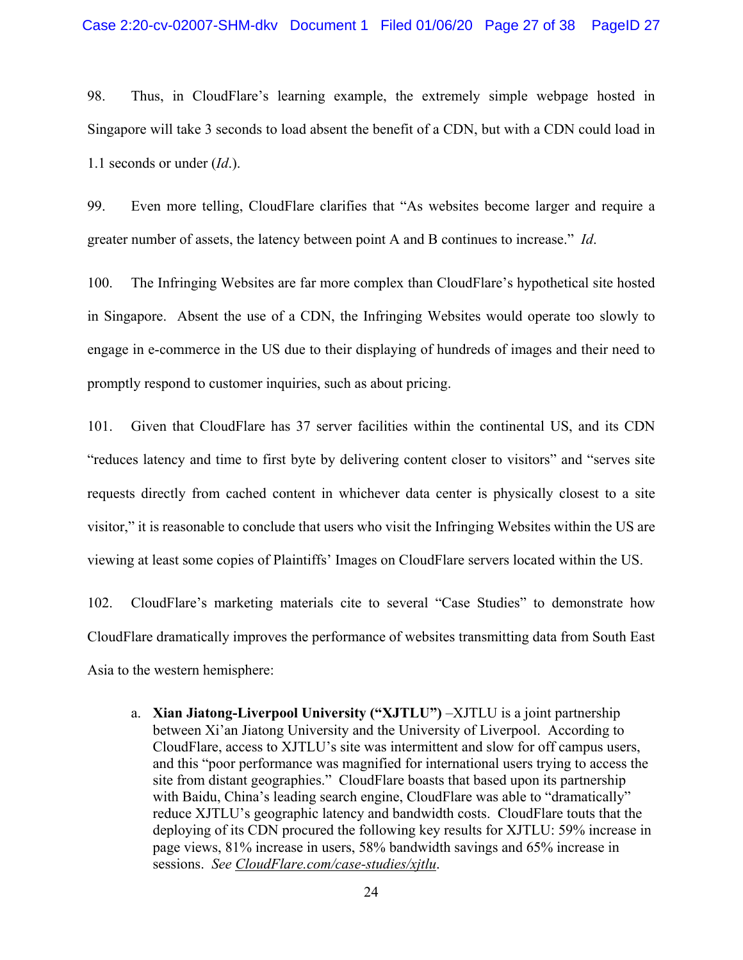98. Thus, in CloudFlare's learning example, the extremely simple webpage hosted in Singapore will take 3 seconds to load absent the benefit of a CDN, but with a CDN could load in 1.1 seconds or under (*Id*.).

99. Even more telling, CloudFlare clarifies that "As websites become larger and require a greater number of assets, the latency between point A and B continues to increase." *Id*.

100. The Infringing Websites are far more complex than CloudFlare's hypothetical site hosted in Singapore. Absent the use of a CDN, the Infringing Websites would operate too slowly to engage in e-commerce in the US due to their displaying of hundreds of images and their need to promptly respond to customer inquiries, such as about pricing.

101. Given that CloudFlare has 37 server facilities within the continental US, and its CDN "reduces latency and time to first byte by delivering content closer to visitors" and "serves site requests directly from cached content in whichever data center is physically closest to a site visitor," it is reasonable to conclude that users who visit the Infringing Websites within the US are viewing at least some copies of Plaintiffs' Images on CloudFlare servers located within the US.

102. CloudFlare's marketing materials cite to several "Case Studies" to demonstrate how CloudFlare dramatically improves the performance of websites transmitting data from South East Asia to the western hemisphere:

a. **Xian Jiatong-Liverpool University ("XJTLU")** –XJTLU is a joint partnership between Xi'an Jiatong University and the University of Liverpool. According to CloudFlare, access to XJTLU's site was intermittent and slow for off campus users, and this "poor performance was magnified for international users trying to access the site from distant geographies." CloudFlare boasts that based upon its partnership with Baidu, China's leading search engine, CloudFlare was able to "dramatically" reduce XJTLU's geographic latency and bandwidth costs. CloudFlare touts that the deploying of its CDN procured the following key results for XJTLU: 59% increase in page views, 81% increase in users, 58% bandwidth savings and 65% increase in sessions. *See CloudFlare.com/case-studies/xjtlu*.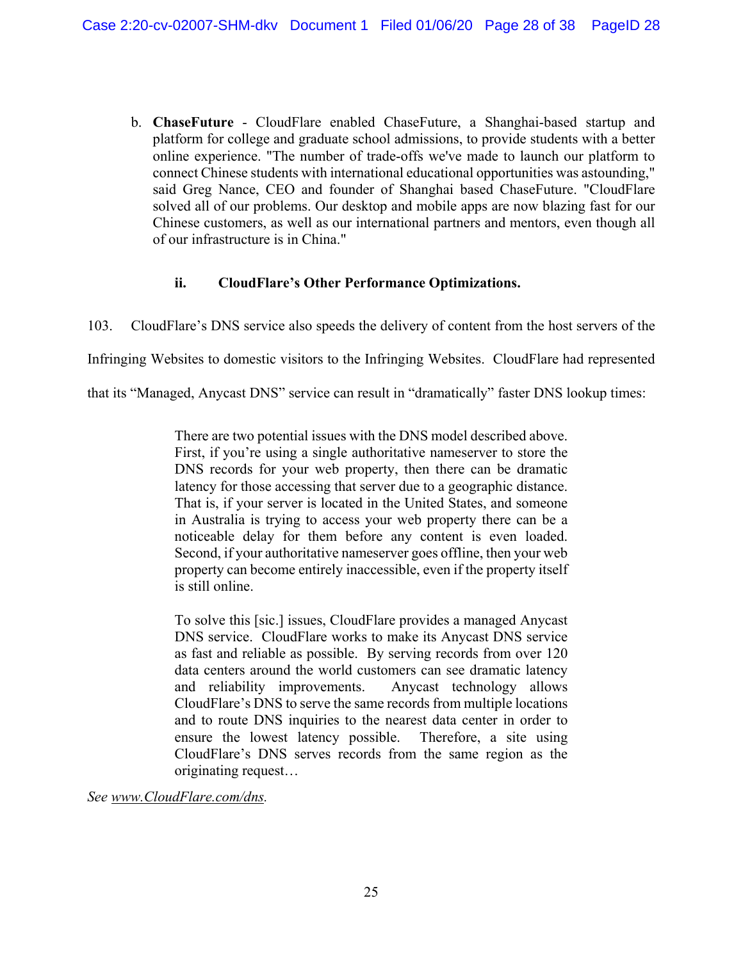b. **ChaseFuture** - CloudFlare enabled ChaseFuture, a Shanghai-based startup and platform for college and graduate school admissions, to provide students with a better online experience. "The number of trade-offs we've made to launch our platform to connect Chinese students with international educational opportunities was astounding," said Greg Nance, CEO and founder of Shanghai based ChaseFuture. "CloudFlare solved all of our problems. Our desktop and mobile apps are now blazing fast for our Chinese customers, as well as our international partners and mentors, even though all of our infrastructure is in China."

### **ii. CloudFlare's Other Performance Optimizations.**

103. CloudFlare's DNS service also speeds the delivery of content from the host servers of the Infringing Websites to domestic visitors to the Infringing Websites. CloudFlare had represented that its "Managed, Anycast DNS" service can result in "dramatically" faster DNS lookup times:

> There are two potential issues with the DNS model described above. First, if you're using a single authoritative nameserver to store the DNS records for your web property, then there can be dramatic latency for those accessing that server due to a geographic distance. That is, if your server is located in the United States, and someone in Australia is trying to access your web property there can be a noticeable delay for them before any content is even loaded. Second, if your authoritative nameserver goes offline, then your web property can become entirely inaccessible, even if the property itself is still online.

> To solve this [sic.] issues, CloudFlare provides a managed Anycast DNS service. CloudFlare works to make its Anycast DNS service as fast and reliable as possible. By serving records from over 120 data centers around the world customers can see dramatic latency and reliability improvements. Anycast technology allows CloudFlare's DNS to serve the same records from multiple locations and to route DNS inquiries to the nearest data center in order to ensure the lowest latency possible. Therefore, a site using CloudFlare's DNS serves records from the same region as the originating request…

*See www.CloudFlare.com/dns.*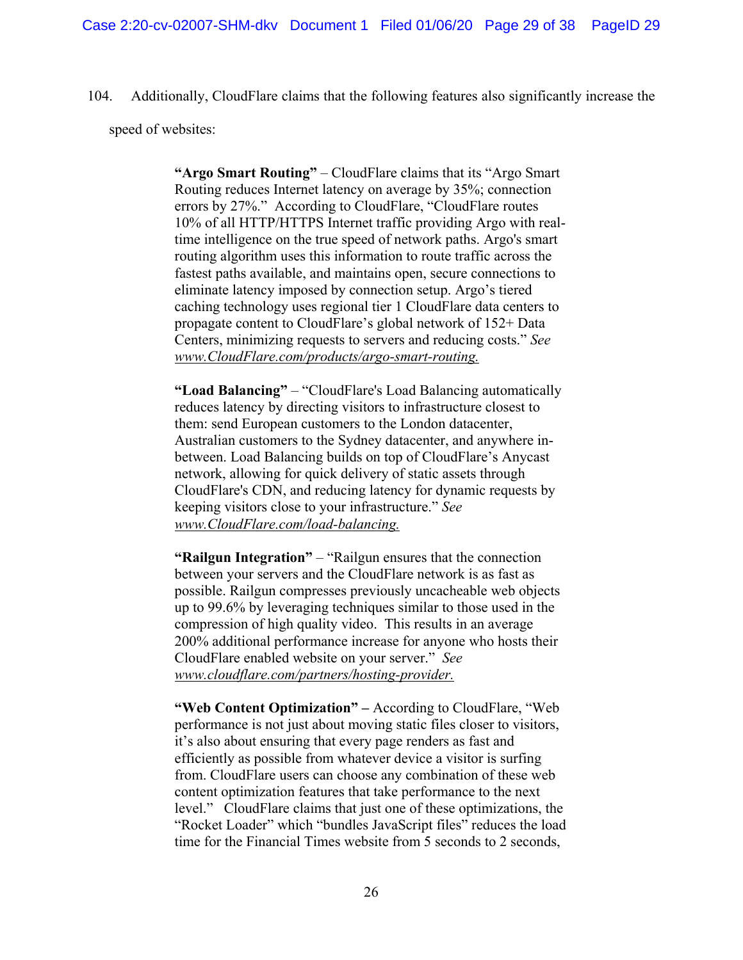104. Additionally, CloudFlare claims that the following features also significantly increase the speed of websites:

> **"Argo Smart Routing"** – CloudFlare claims that its "Argo Smart Routing reduces Internet latency on average by 35%; connection errors by 27%." According to CloudFlare, "CloudFlare routes 10% of all HTTP/HTTPS Internet traffic providing Argo with realtime intelligence on the true speed of network paths. Argo's smart routing algorithm uses this information to route traffic across the fastest paths available, and maintains open, secure connections to eliminate latency imposed by connection setup. Argo's tiered caching technology uses regional tier 1 CloudFlare data centers to propagate content to CloudFlare's global network of 152+ Data Centers, minimizing requests to servers and reducing costs." *See www.CloudFlare.com/products/argo-smart-routing.*

> **"Load Balancing"** – "CloudFlare's Load Balancing automatically reduces latency by directing visitors to infrastructure closest to them: send European customers to the London datacenter, Australian customers to the Sydney datacenter, and anywhere inbetween. Load Balancing builds on top of CloudFlare's Anycast network, allowing for quick delivery of static assets through CloudFlare's CDN, and reducing latency for dynamic requests by keeping visitors close to your infrastructure." *See www.CloudFlare.com/load-balancing.*

> **"Railgun Integration"** – "Railgun ensures that the connection between your servers and the CloudFlare network is as fast as possible. Railgun compresses previously uncacheable web objects up to 99.6% by leveraging techniques similar to those used in the compression of high quality video. This results in an average 200% additional performance increase for anyone who hosts their CloudFlare enabled website on your server." *See www.cloudflare.com/partners/hosting-provider.*

**"Web Content Optimization" –** According to CloudFlare, "Web performance is not just about moving static files closer to visitors, it's also about ensuring that every page renders as fast and efficiently as possible from whatever device a visitor is surfing from. CloudFlare users can choose any combination of these web content optimization features that take performance to the next level." CloudFlare claims that just one of these optimizations, the "Rocket Loader" which "bundles JavaScript files" reduces the load time for the Financial Times website from 5 seconds to 2 seconds,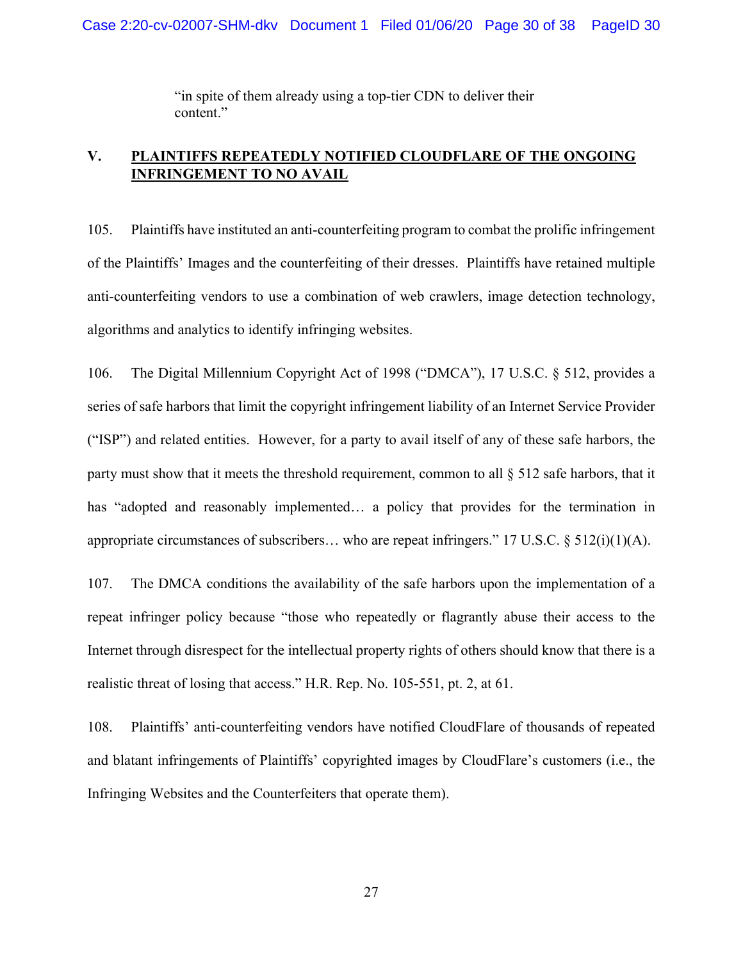"in spite of them already using a top-tier CDN to deliver their content."

### **V. PLAINTIFFS REPEATEDLY NOTIFIED CLOUDFLARE OF THE ONGOING INFRINGEMENT TO NO AVAIL**

105. Plaintiffs have instituted an anti-counterfeiting program to combat the prolific infringement of the Plaintiffs' Images and the counterfeiting of their dresses. Plaintiffs have retained multiple anti-counterfeiting vendors to use a combination of web crawlers, image detection technology, algorithms and analytics to identify infringing websites.

106. The Digital Millennium Copyright Act of 1998 ("DMCA"), 17 U.S.C. § 512, provides a series of safe harbors that limit the copyright infringement liability of an Internet Service Provider ("ISP") and related entities. However, for a party to avail itself of any of these safe harbors, the party must show that it meets the threshold requirement, common to all § 512 safe harbors, that it has "adopted and reasonably implemented... a policy that provides for the termination in appropriate circumstances of subscribers… who are repeat infringers." 17 U.S.C. § 512(i)(1)(A).

107. The DMCA conditions the availability of the safe harbors upon the implementation of a repeat infringer policy because "those who repeatedly or flagrantly abuse their access to the Internet through disrespect for the intellectual property rights of others should know that there is a realistic threat of losing that access." H.R. Rep. No. 105-551, pt. 2, at 61.

108. Plaintiffs' anti-counterfeiting vendors have notified CloudFlare of thousands of repeated and blatant infringements of Plaintiffs' copyrighted images by CloudFlare's customers (i.e., the Infringing Websites and the Counterfeiters that operate them).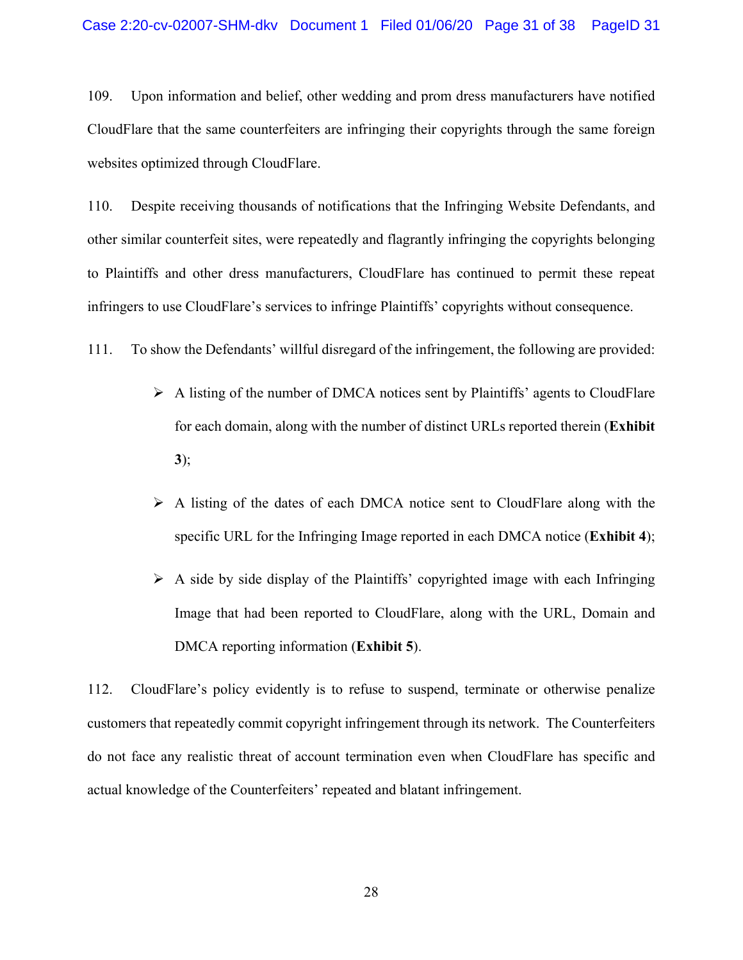109. Upon information and belief, other wedding and prom dress manufacturers have notified CloudFlare that the same counterfeiters are infringing their copyrights through the same foreign websites optimized through CloudFlare.

110. Despite receiving thousands of notifications that the Infringing Website Defendants, and other similar counterfeit sites, were repeatedly and flagrantly infringing the copyrights belonging to Plaintiffs and other dress manufacturers, CloudFlare has continued to permit these repeat infringers to use CloudFlare's services to infringe Plaintiffs' copyrights without consequence.

111. To show the Defendants' willful disregard of the infringement, the following are provided:

- $\triangleright$  A listing of the number of DMCA notices sent by Plaintiffs' agents to CloudFlare for each domain, along with the number of distinct URLs reported therein (**Exhibit 3**);
- $\triangleright$  A listing of the dates of each DMCA notice sent to CloudFlare along with the specific URL for the Infringing Image reported in each DMCA notice (**Exhibit 4**);
- $\triangleright$  A side by side display of the Plaintiffs' copyrighted image with each Infringing Image that had been reported to CloudFlare, along with the URL, Domain and DMCA reporting information (**Exhibit 5**).

112. CloudFlare's policy evidently is to refuse to suspend, terminate or otherwise penalize customers that repeatedly commit copyright infringement through its network. The Counterfeiters do not face any realistic threat of account termination even when CloudFlare has specific and actual knowledge of the Counterfeiters' repeated and blatant infringement.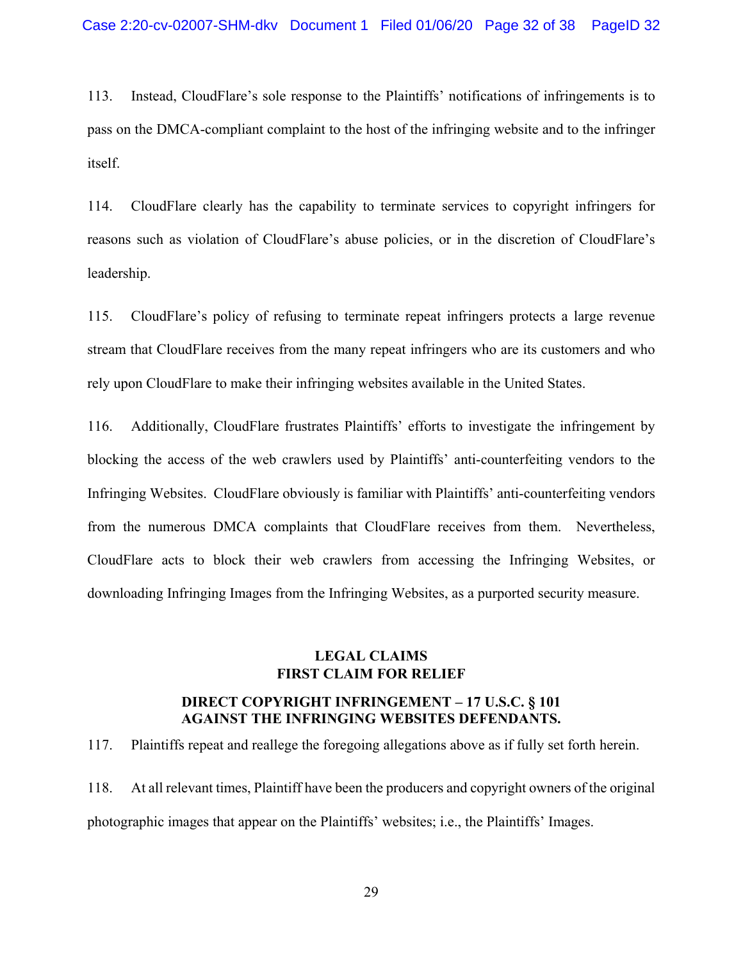113. Instead, CloudFlare's sole response to the Plaintiffs' notifications of infringements is to pass on the DMCA-compliant complaint to the host of the infringing website and to the infringer itself.

114. CloudFlare clearly has the capability to terminate services to copyright infringers for reasons such as violation of CloudFlare's abuse policies, or in the discretion of CloudFlare's leadership.

115. CloudFlare's policy of refusing to terminate repeat infringers protects a large revenue stream that CloudFlare receives from the many repeat infringers who are its customers and who rely upon CloudFlare to make their infringing websites available in the United States.

116. Additionally, CloudFlare frustrates Plaintiffs' efforts to investigate the infringement by blocking the access of the web crawlers used by Plaintiffs' anti-counterfeiting vendors to the Infringing Websites. CloudFlare obviously is familiar with Plaintiffs' anti-counterfeiting vendors from the numerous DMCA complaints that CloudFlare receives from them. Nevertheless, CloudFlare acts to block their web crawlers from accessing the Infringing Websites, or downloading Infringing Images from the Infringing Websites, as a purported security measure.

### **LEGAL CLAIMS FIRST CLAIM FOR RELIEF**

### **DIRECT COPYRIGHT INFRINGEMENT – 17 U.S.C. § 101 AGAINST THE INFRINGING WEBSITES DEFENDANTS.**

117. Plaintiffs repeat and reallege the foregoing allegations above as if fully set forth herein.

118. At all relevant times, Plaintiff have been the producers and copyright owners of the original photographic images that appear on the Plaintiffs' websites; i.e., the Plaintiffs' Images.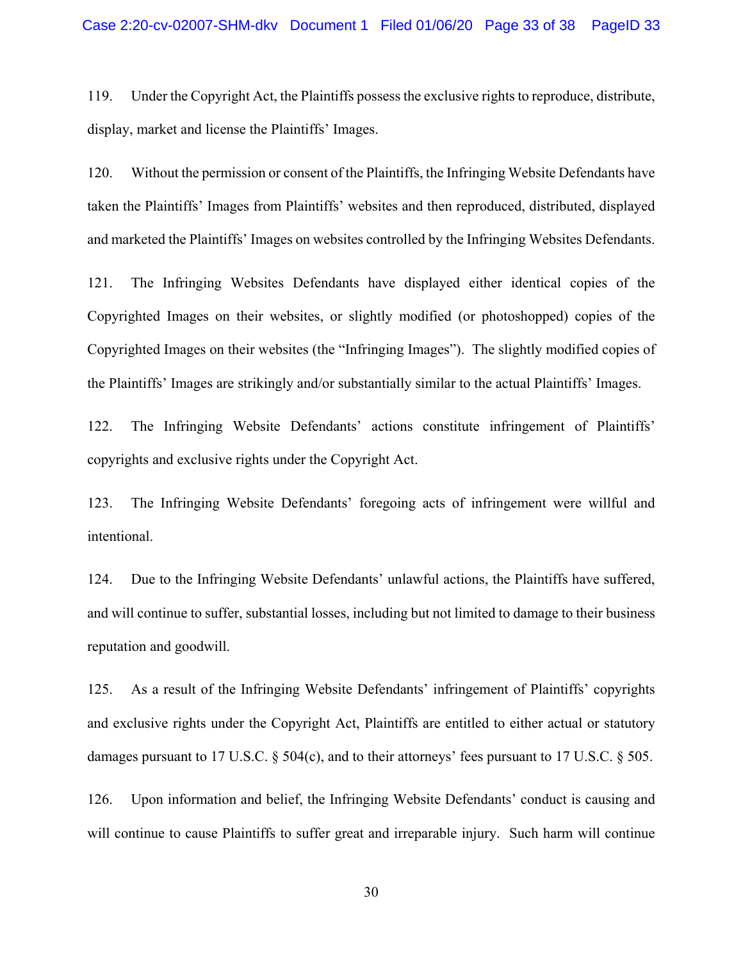119. Under the Copyright Act, the Plaintiffs possess the exclusive rights to reproduce, distribute, display, market and license the Plaintiffs' Images.

120. Without the permission or consent of the Plaintiffs, the Infringing Website Defendants have taken the Plaintiffs' Images from Plaintiffs' websites and then reproduced, distributed, displayed and marketed the Plaintiffs' Images on websites controlled by the Infringing Websites Defendants.

121. The Infringing Websites Defendants have displayed either identical copies of the Copyrighted Images on their websites, or slightly modified (or photoshopped) copies of the Copyrighted Images on their websites (the "Infringing Images"). The slightly modified copies of the Plaintiffs' Images are strikingly and/or substantially similar to the actual Plaintiffs' Images.

122. The Infringing Website Defendants' actions constitute infringement of Plaintiffs' copyrights and exclusive rights under the Copyright Act.

123. The Infringing Website Defendants' foregoing acts of infringement were willful and intentional.

124. Due to the Infringing Website Defendants' unlawful actions, the Plaintiffs have suffered, and will continue to suffer, substantial losses, including but not limited to damage to their business reputation and goodwill.

125. As a result of the Infringing Website Defendants' infringement of Plaintiffs' copyrights and exclusive rights under the Copyright Act, Plaintiffs are entitled to either actual or statutory damages pursuant to 17 U.S.C. § 504(c), and to their attorneys' fees pursuant to 17 U.S.C. § 505.

126. Upon information and belief, the Infringing Website Defendants' conduct is causing and will continue to cause Plaintiffs to suffer great and irreparable injury. Such harm will continue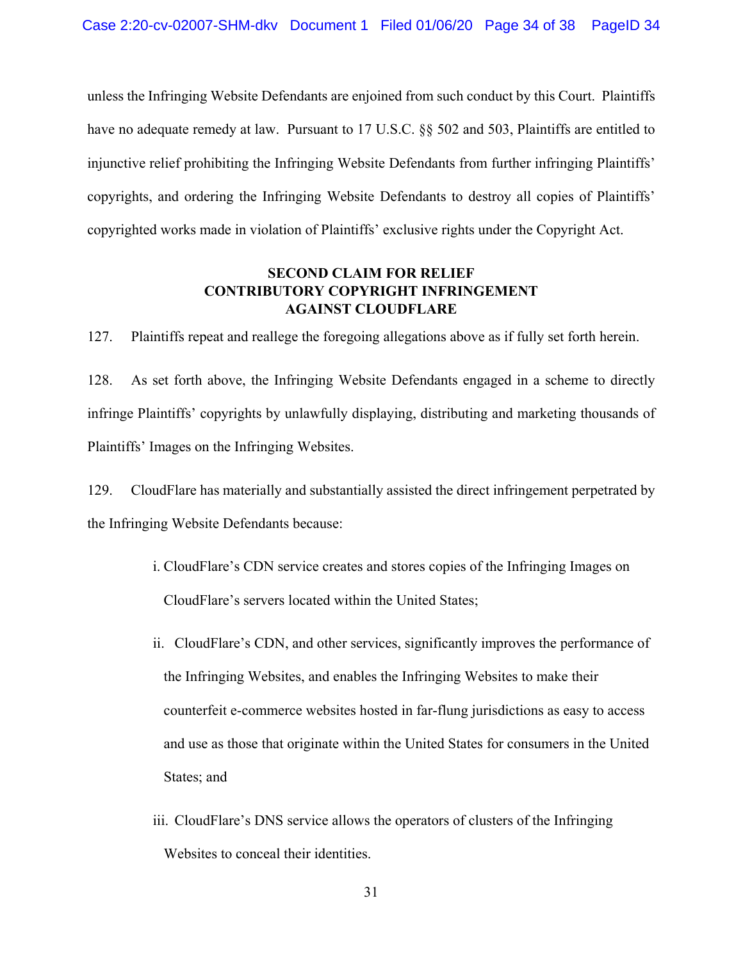unless the Infringing Website Defendants are enjoined from such conduct by this Court. Plaintiffs have no adequate remedy at law. Pursuant to 17 U.S.C.  $\&$  502 and 503, Plaintiffs are entitled to injunctive relief prohibiting the Infringing Website Defendants from further infringing Plaintiffs' copyrights, and ordering the Infringing Website Defendants to destroy all copies of Plaintiffs' copyrighted works made in violation of Plaintiffs' exclusive rights under the Copyright Act.

### **SECOND CLAIM FOR RELIEF CONTRIBUTORY COPYRIGHT INFRINGEMENT AGAINST CLOUDFLARE**

127. Plaintiffs repeat and reallege the foregoing allegations above as if fully set forth herein.

128. As set forth above, the Infringing Website Defendants engaged in a scheme to directly infringe Plaintiffs' copyrights by unlawfully displaying, distributing and marketing thousands of Plaintiffs' Images on the Infringing Websites.

129. CloudFlare has materially and substantially assisted the direct infringement perpetrated by the Infringing Website Defendants because:

- i. CloudFlare's CDN service creates and stores copies of the Infringing Images on CloudFlare's servers located within the United States;
- ii. CloudFlare's CDN, and other services, significantly improves the performance of the Infringing Websites, and enables the Infringing Websites to make their counterfeit e-commerce websites hosted in far-flung jurisdictions as easy to access and use as those that originate within the United States for consumers in the United States; and
- iii. CloudFlare's DNS service allows the operators of clusters of the Infringing Websites to conceal their identities.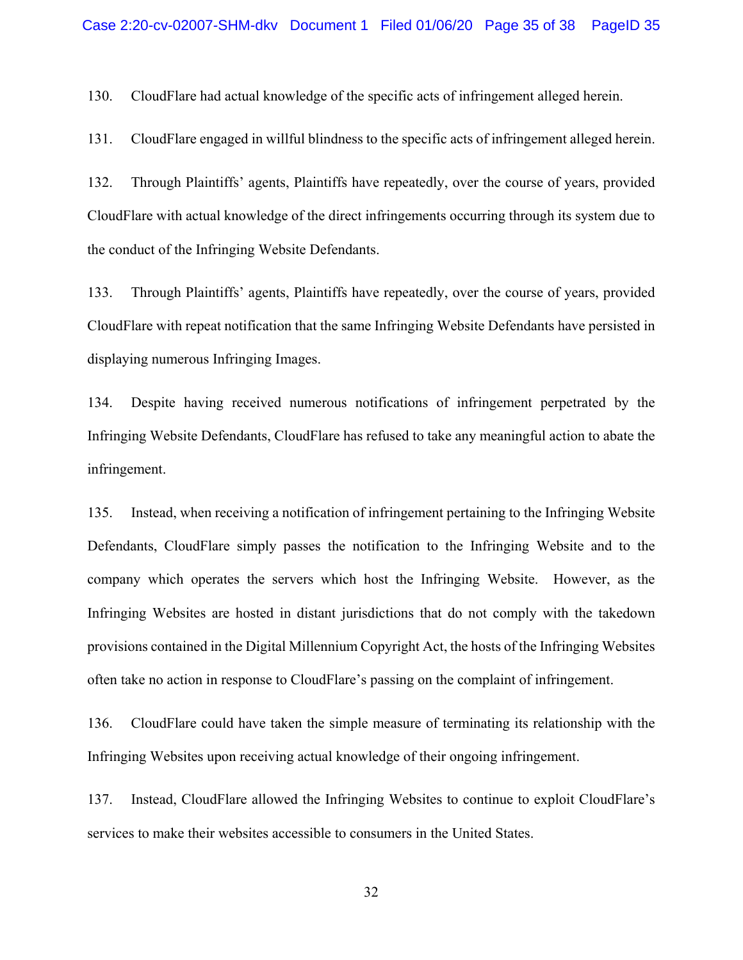130. CloudFlare had actual knowledge of the specific acts of infringement alleged herein.

131. CloudFlare engaged in willful blindness to the specific acts of infringement alleged herein.

132. Through Plaintiffs' agents, Plaintiffs have repeatedly, over the course of years, provided CloudFlare with actual knowledge of the direct infringements occurring through its system due to the conduct of the Infringing Website Defendants.

133. Through Plaintiffs' agents, Plaintiffs have repeatedly, over the course of years, provided CloudFlare with repeat notification that the same Infringing Website Defendants have persisted in displaying numerous Infringing Images.

134. Despite having received numerous notifications of infringement perpetrated by the Infringing Website Defendants, CloudFlare has refused to take any meaningful action to abate the infringement.

135. Instead, when receiving a notification of infringement pertaining to the Infringing Website Defendants, CloudFlare simply passes the notification to the Infringing Website and to the company which operates the servers which host the Infringing Website. However, as the Infringing Websites are hosted in distant jurisdictions that do not comply with the takedown provisions contained in the Digital Millennium Copyright Act, the hosts of the Infringing Websites often take no action in response to CloudFlare's passing on the complaint of infringement.

136. CloudFlare could have taken the simple measure of terminating its relationship with the Infringing Websites upon receiving actual knowledge of their ongoing infringement.

137. Instead, CloudFlare allowed the Infringing Websites to continue to exploit CloudFlare's services to make their websites accessible to consumers in the United States.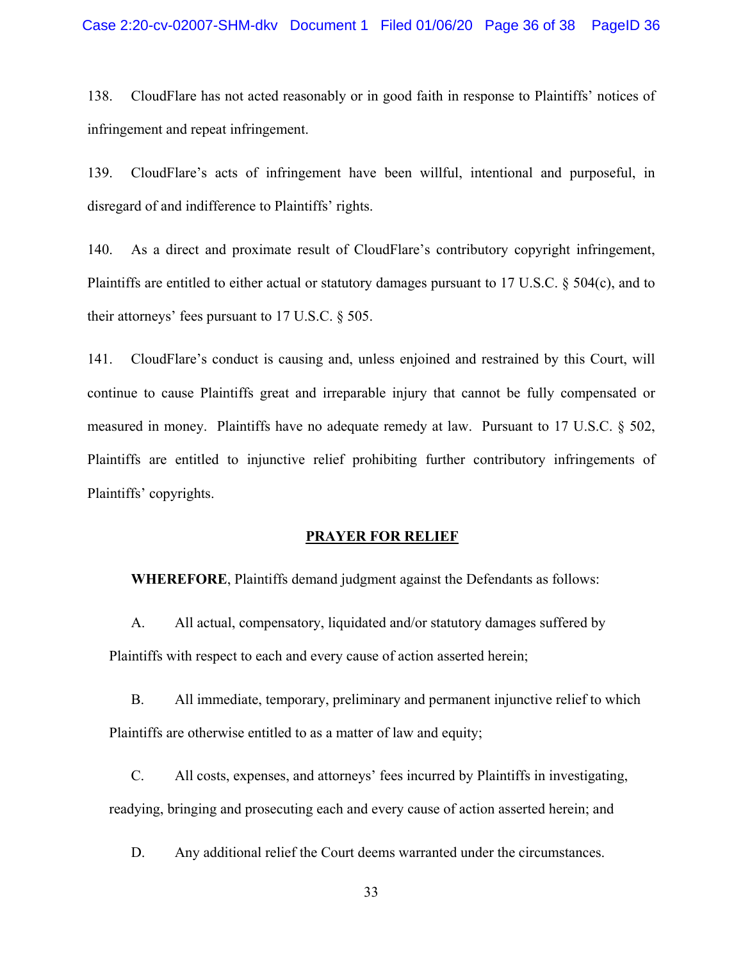138. CloudFlare has not acted reasonably or in good faith in response to Plaintiffs' notices of infringement and repeat infringement.

139. CloudFlare's acts of infringement have been willful, intentional and purposeful, in disregard of and indifference to Plaintiffs' rights.

140. As a direct and proximate result of CloudFlare's contributory copyright infringement, Plaintiffs are entitled to either actual or statutory damages pursuant to 17 U.S.C. § 504(c), and to their attorneys' fees pursuant to 17 U.S.C. § 505.

141. CloudFlare's conduct is causing and, unless enjoined and restrained by this Court, will continue to cause Plaintiffs great and irreparable injury that cannot be fully compensated or measured in money. Plaintiffs have no adequate remedy at law. Pursuant to 17 U.S.C. § 502, Plaintiffs are entitled to injunctive relief prohibiting further contributory infringements of Plaintiffs' copyrights.

#### **PRAYER FOR RELIEF**

**WHEREFORE**, Plaintiffs demand judgment against the Defendants as follows:

A. All actual, compensatory, liquidated and/or statutory damages suffered by Plaintiffs with respect to each and every cause of action asserted herein;

B. All immediate, temporary, preliminary and permanent injunctive relief to which Plaintiffs are otherwise entitled to as a matter of law and equity;

C. All costs, expenses, and attorneys' fees incurred by Plaintiffs in investigating, readying, bringing and prosecuting each and every cause of action asserted herein; and

D. Any additional relief the Court deems warranted under the circumstances.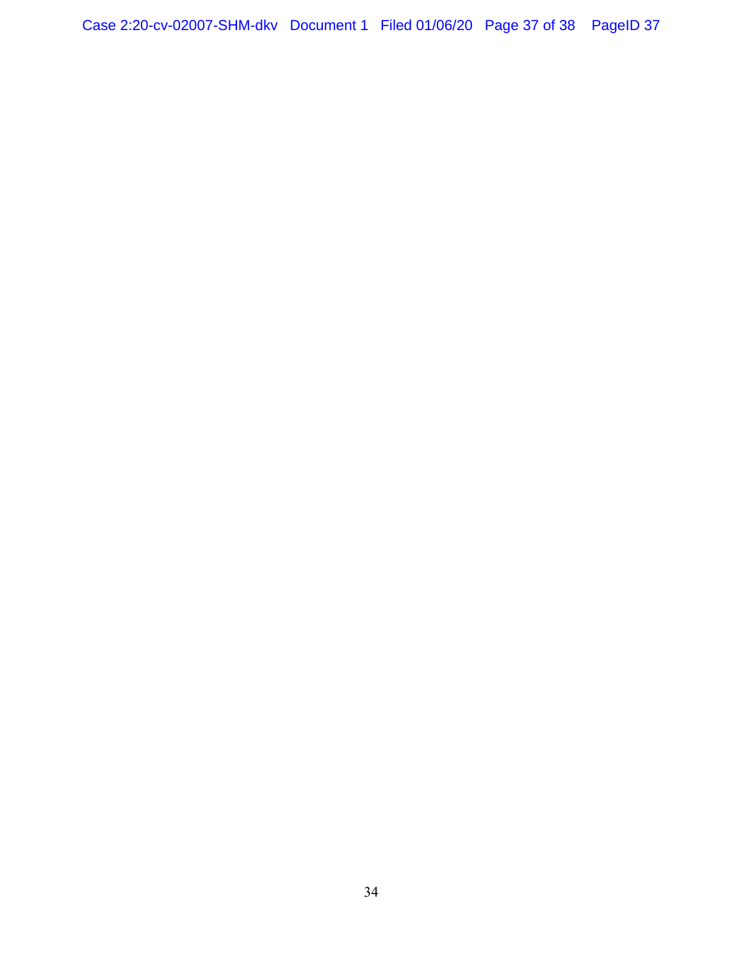Case 2:20-cv-02007-SHM-dkv Document 1 Filed 01/06/20 Page 37 of 38 PageID 37